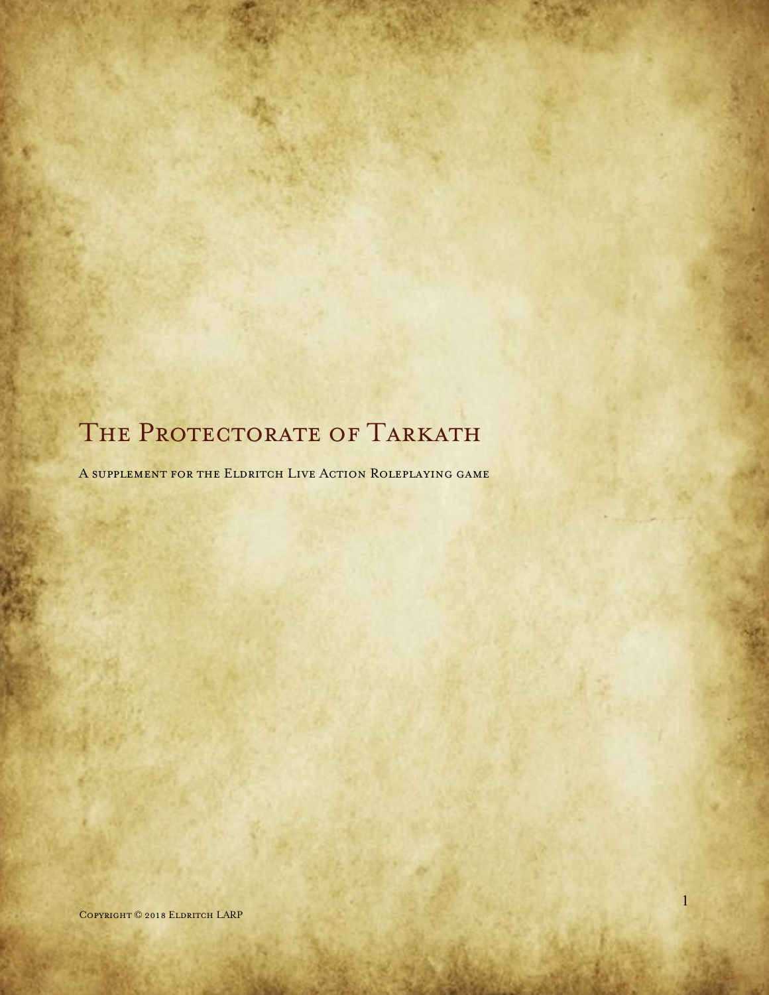# THE PROTECTORATE OF TARKATH

A supplement for the Eldritch Live Action Roleplaying game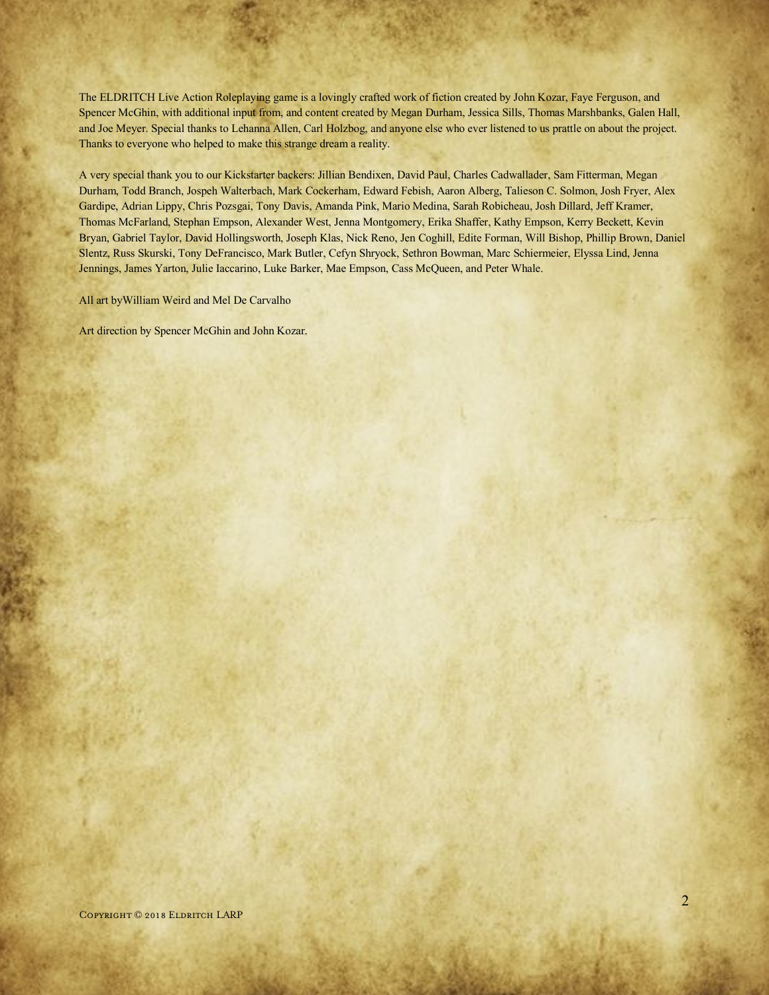The ELDRITCH Live Action Roleplaying game is a lovingly crafted work of fiction created by John Kozar, Faye Ferguson, and Spencer McGhin, with additional input from, and content created by Megan Durham, Jessica Sills, Thomas Marshbanks, Galen Hall, and Joe Meyer. Special thanks to Lehanna Allen, Carl Holzbog, and anyone else who ever listened to us prattle on about the project. Thanks to everyone who helped to make this strange dream a reality.

A very special thank you to our Kickstarter backers: Jillian Bendixen, David Paul, Charles Cadwallader, Sam Fitterman, Megan Durham, Todd Branch, Jospeh Walterbach, Mark Cockerham, Edward Febish, Aaron Alberg, Talieson C. Solmon, Josh Fryer, Alex Gardipe, Adrian Lippy, Chris Pozsgai, Tony Davis, Amanda Pink, Mario Medina, Sarah Robicheau, Josh Dillard, Jeff Kramer, Thomas McFarland, Stephan Empson, Alexander West, Jenna Montgomery, Erika Shaffer, Kathy Empson, Kerry Beckett, Kevin Bryan, Gabriel Taylor, David Hollingsworth, Joseph Klas, Nick Reno, Jen Coghill, Edite Forman, Will Bishop, Phillip Brown, Daniel Slentz, Russ Skurski, Tony DeFrancisco, Mark Butler, Cefyn Shryock, Sethron Bowman, Marc Schiermeier, Elyssa Lind, Jenna Jennings, James Yarton, Julie Iaccarino, Luke Barker, Mae Empson, Cass McQueen, and Peter Whale.

All art byWilliam Weird and Mel De Carvalho

Art direction by Spencer McGhin and John Kozar.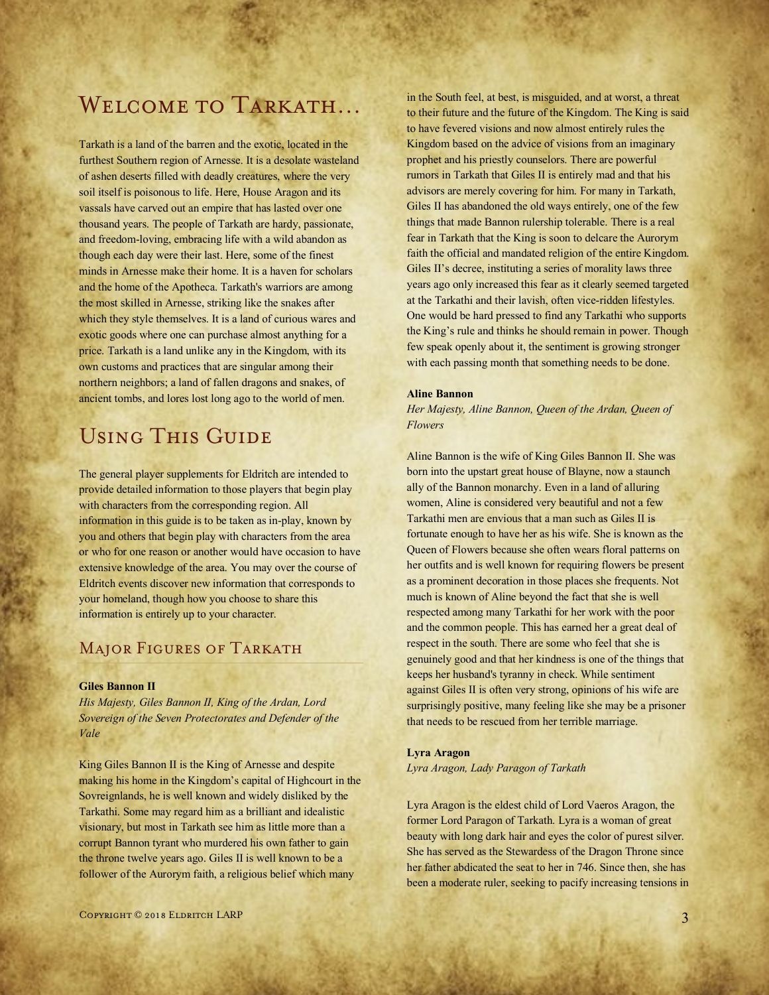# Welcome to Tarkath…

Tarkath is a land of the barren and the exotic, located in the furthest Southern region of Arnesse. It is a desolate wasteland of ashen deserts filled with deadly creatures, where the very soil itself is poisonous to life. Here, House Aragon and its vassals have carved out an empire that has lasted over one thousand years. The people of Tarkath are hardy, passionate, and freedom-loving, embracing life with a wild abandon as though each day were their last. Here, some of the finest minds in Arnesse make their home. It is a haven for scholars and the home of the Apotheca. Tarkath's warriors are among the most skilled in Arnesse, striking like the snakes after which they style themselves. It is a land of curious wares and exotic goods where one can purchase almost anything for a price. Tarkath is a land unlike any in the Kingdom, with its own customs and practices that are singular among their northern neighbors; a land of fallen dragons and snakes, of ancient tombs, and lores lost long ago to the world of men.

# Using This Guide

The general player supplements for Eldritch are intended to provide detailed information to those players that begin play with characters from the corresponding region. All information in this guide is to be taken as in-play, known by you and others that begin play with characters from the area or who for one reason or another would have occasion to have extensive knowledge of the area. You may over the course of Eldritch events discover new information that corresponds to your homeland, though how you choose to share this information is entirely up to your character.

# MAJOR FIGURES OF TARKATH

#### **Giles Bannon II**

*His Majesty, Giles Bannon II, King of the Ardan, Lord Sovereign of the Seven Protectorates and Defender of the Vale*

King Giles Bannon II is the King of Arnesse and despite making his home in the Kingdom's capital of Highcourt in the Sovreignlands, he is well known and widely disliked by the Tarkathi. Some may regard him as a brilliant and idealistic visionary, but most in Tarkath see him as little more than a corrupt Bannon tyrant who murdered his own father to gain the throne twelve years ago. Giles II is well known to be a follower of the Aurorym faith, a religious belief which many

in the South feel, at best, is misguided, and at worst, a threat to their future and the future of the Kingdom. The King is said to have fevered visions and now almost entirely rules the Kingdom based on the advice of visions from an imaginary prophet and his priestly counselors. There are powerful rumors in Tarkath that Giles II is entirely mad and that his advisors are merely covering for him. For many in Tarkath, Giles II has abandoned the old ways entirely, one of the few things that made Bannon rulership tolerable. There is a real fear in Tarkath that the King is soon to delcare the Aurorym faith the official and mandated religion of the entire Kingdom. Giles II's decree, instituting a series of morality laws three years ago only increased this fear as it clearly seemed targeted at the Tarkathi and their lavish, often vice-ridden lifestyles. One would be hard pressed to find any Tarkathi who supports the King's rule and thinks he should remain in power. Though few speak openly about it, the sentiment is growing stronger with each passing month that something needs to be done.

#### **Aline Bannon**

*Her Majesty, Aline Bannon, Queen of the Ardan, Queen of Flowers*

Aline Bannon is the wife of King Giles Bannon II. She was born into the upstart great house of Blayne, now a staunch ally of the Bannon monarchy. Even in a land of alluring women, Aline is considered very beautiful and not a few Tarkathi men are envious that a man such as Giles II is fortunate enough to have her as his wife. She is known as the Queen of Flowers because she often wears floral patterns on her outfits and is well known for requiring flowers be present as a prominent decoration in those places she frequents. Not much is known of Aline beyond the fact that she is well respected among many Tarkathi for her work with the poor and the common people. This has earned her a great deal of respect in the south. There are some who feel that she is genuinely good and that her kindness is one of the things that keeps her husband's tyranny in check. While sentiment against Giles II is often very strong, opinions of his wife are surprisingly positive, many feeling like she may be a prisoner that needs to be rescued from her terrible marriage.

#### **Lyra Aragon**

*Lyra Aragon, Lady Paragon of Tarkath* 

Lyra Aragon is the eldest child of Lord Vaeros Aragon, the former Lord Paragon of Tarkath. Lyra is a woman of great beauty with long dark hair and eyes the color of purest silver. She has served as the Stewardess of the Dragon Throne since her father abdicated the seat to her in 746. Since then, she has been a moderate ruler, seeking to pacify increasing tensions in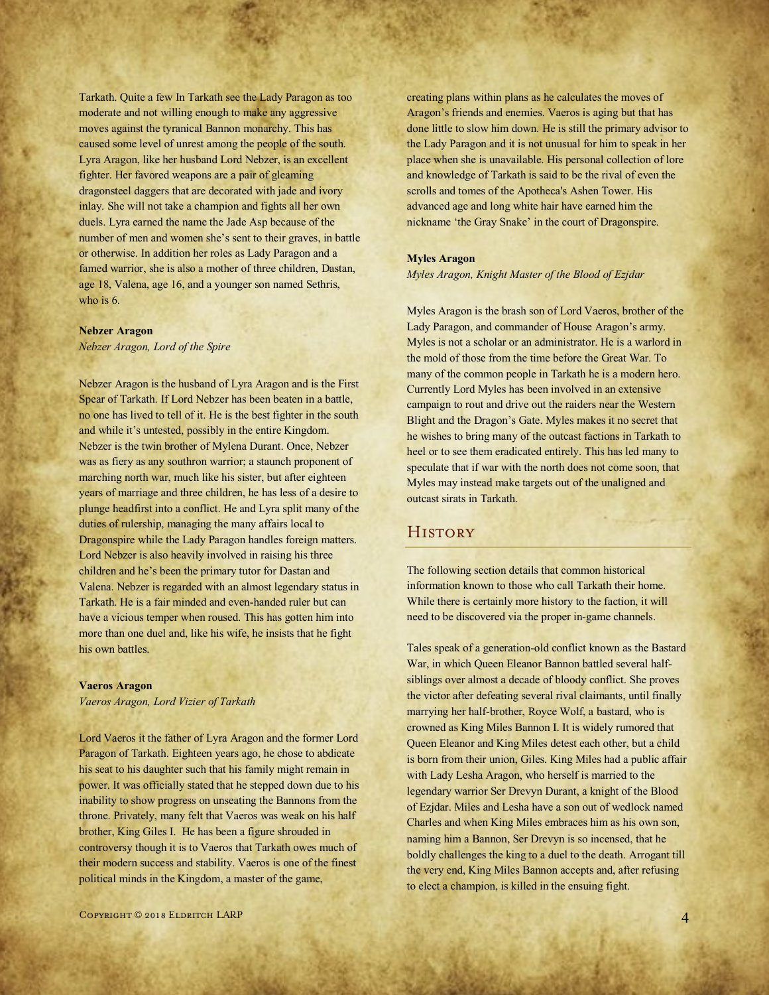Tarkath. Quite a few In Tarkath see the Lady Paragon as too moderate and not willing enough to make any aggressive moves against the tyranical Bannon monarchy. This has caused some level of unrest among the people of the south. Lyra Aragon, like her husband Lord Nebzer, is an excellent fighter. Her favored weapons are a pair of gleaming dragonsteel daggers that are decorated with jade and ivory inlay. She will not take a champion and fights all her own duels. Lyra earned the name the Jade Asp because of the number of men and women she's sent to their graves, in battle or otherwise. In addition her roles as Lady Paragon and a famed warrior, she is also a mother of three children, Dastan, age 18, Valena, age 16, and a younger son named Sethris, who is 6.

#### **Nebzer Aragon**

*Nebzer Aragon, Lord of the Spire*

Nebzer Aragon is the husband of Lyra Aragon and is the First Spear of Tarkath. If Lord Nebzer has been beaten in a battle, no one has lived to tell of it. He is the best fighter in the south and while it's untested, possibly in the entire Kingdom. Nebzer is the twin brother of Mylena Durant. Once, Nebzer was as fiery as any southron warrior; a staunch proponent of marching north war, much like his sister, but after eighteen years of marriage and three children, he has less of a desire to plunge headfirst into a conflict. He and Lyra split many of the duties of rulership, managing the many affairs local to Dragonspire while the Lady Paragon handles foreign matters. Lord Nebzer is also heavily involved in raising his three children and he's been the primary tutor for Dastan and Valena. Nebzer is regarded with an almost legendary status in Tarkath. He is a fair minded and even-handed ruler but can have a vicious temper when roused. This has gotten him into more than one duel and, like his wife, he insists that he fight his own battles.

#### **Vaeros Aragon**

*Vaeros Aragon, Lord Vizier of Tarkath*

Lord Vaeros it the father of Lyra Aragon and the former Lord Paragon of Tarkath. Eighteen years ago, he chose to abdicate his seat to his daughter such that his family might remain in power. It was officially stated that he stepped down due to his inability to show progress on unseating the Bannons from the throne. Privately, many felt that Vaeros was weak on his half brother, King Giles I. He has been a figure shrouded in controversy though it is to Vaeros that Tarkath owes much of their modern success and stability. Vaeros is one of the finest political minds in the Kingdom, a master of the game,

creating plans within plans as he calculates the moves of Aragon's friends and enemies. Vaeros is aging but that has done little to slow him down. He is still the primary advisor to the Lady Paragon and it is not unusual for him to speak in her place when she is unavailable. His personal collection of lore and knowledge of Tarkath is said to be the rival of even the scrolls and tomes of the Apotheca's Ashen Tower. His advanced age and long white hair have earned him the nickname 'the Gray Snake' in the court of Dragonspire.

#### **Myles Aragon**

*Myles Aragon, Knight Master of the Blood of Ezjdar*

Myles Aragon is the brash son of Lord Vaeros, brother of the Lady Paragon, and commander of House Aragon's army. Myles is not a scholar or an administrator. He is a warlord in the mold of those from the time before the Great War. To many of the common people in Tarkath he is a modern hero. Currently Lord Myles has been involved in an extensive campaign to rout and drive out the raiders near the Western Blight and the Dragon's Gate. Myles makes it no secret that he wishes to bring many of the outcast factions in Tarkath to heel or to see them eradicated entirely. This has led many to speculate that if war with the north does not come soon, that Myles may instead make targets out of the unaligned and outcast sirats in Tarkath.

# **HISTORY**

The following section details that common historical information known to those who call Tarkath their home. While there is certainly more history to the faction, it will need to be discovered via the proper in-game channels.

Tales speak of a generation-old conflict known as the Bastard War, in which Queen Eleanor Bannon battled several halfsiblings over almost a decade of bloody conflict. She proves the victor after defeating several rival claimants, until finally marrying her half-brother, Royce Wolf, a bastard, who is crowned as King Miles Bannon I. It is widely rumored that Queen Eleanor and King Miles detest each other, but a child is born from their union, Giles. King Miles had a public affair with Lady Lesha Aragon, who herself is married to the legendary warrior Ser Drevyn Durant, a knight of the Blood of Ezjdar. Miles and Lesha have a son out of wedlock named Charles and when King Miles embraces him as his own son, naming him a Bannon, Ser Drevyn is so incensed, that he boldly challenges the king to a duel to the death. Arrogant till the very end, King Miles Bannon accepts and, after refusing to elect a champion, is killed in the ensuing fight.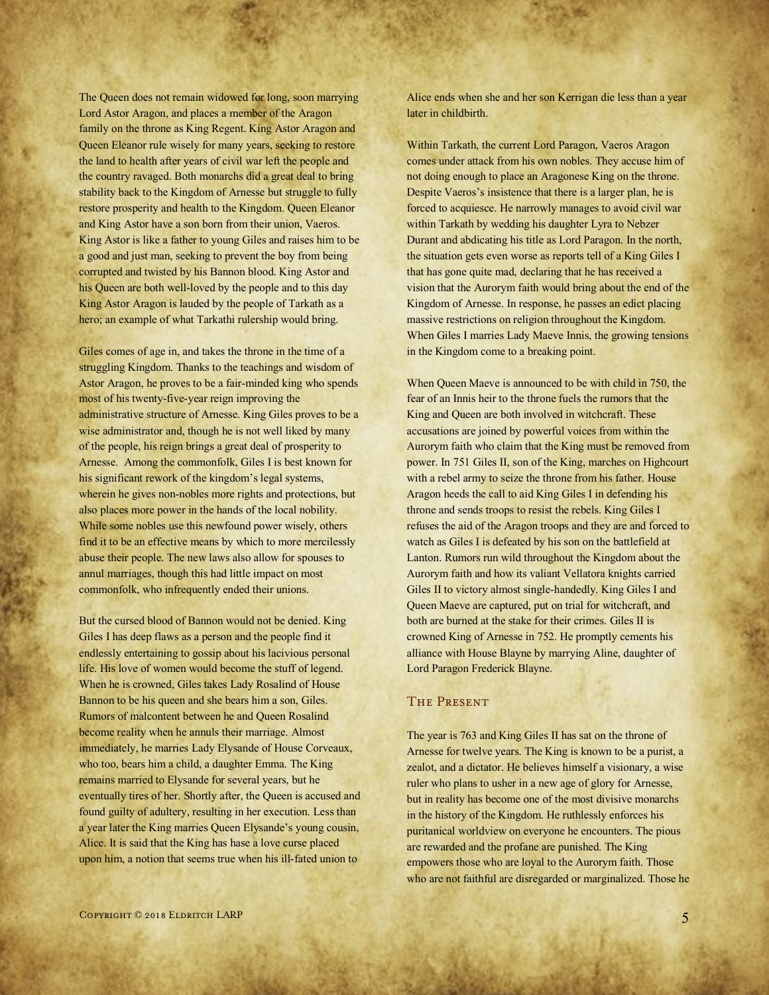The Queen does not remain widowed for long, soon marrying Lord Astor Aragon, and places a member of the Aragon family on the throne as King Regent. King Astor Aragon and Queen Eleanor rule wisely for many years, seeking to restore the land to health after years of civil war left the people and the country ravaged. Both monarchs did a great deal to bring stability back to the Kingdom of Arnesse but struggle to fully restore prosperity and health to the Kingdom. Queen Eleanor and King Astor have a son born from their union, Vaeros. King Astor is like a father to young Giles and raises him to be a good and just man, seeking to prevent the boy from being corrupted and twisted by his Bannon blood. King Astor and his Queen are both well-loved by the people and to this day King Astor Aragon is lauded by the people of Tarkath as a hero; an example of what Tarkathi rulership would bring.

Giles comes of age in, and takes the throne in the time of a struggling Kingdom. Thanks to the teachings and wisdom of Astor Aragon, he proves to be a fair-minded king who spends most of his twenty-five-year reign improving the administrative structure of Arnesse. King Giles proves to be a wise administrator and, though he is not well liked by many of the people, his reign brings a great deal of prosperity to Arnesse. Among the commonfolk, Giles I is best known for his significant rework of the kingdom's legal systems, wherein he gives non-nobles more rights and protections, but also places more power in the hands of the local nobility. While some nobles use this newfound power wisely, others find it to be an effective means by which to more mercilessly abuse their people. The new laws also allow for spouses to annul marriages, though this had little impact on most commonfolk, who infrequently ended their unions.

But the cursed blood of Bannon would not be denied. King Giles I has deep flaws as a person and the people find it endlessly entertaining to gossip about his lacivious personal life. His love of women would become the stuff of legend. When he is crowned, Giles takes Lady Rosalind of House Bannon to be his queen and she bears him a son, Giles. Rumors of malcontent between he and Queen Rosalind become reality when he annuls their marriage. Almost immediately, he marries Lady Elysande of House Corveaux, who too, bears him a child, a daughter Emma. The King remains married to Elysande for several years, but he eventually tires of her. Shortly after, the Queen is accused and found guilty of adultery, resulting in her execution. Less than a year later the King marries Queen Elysande's young cousin, Alice. It is said that the King has hase a love curse placed upon him, a notion that seems true when his ill-fated union to

Alice ends when she and her son Kerrigan die less than a year later in childbirth.

Within Tarkath, the current Lord Paragon, Vaeros Aragon comes under attack from his own nobles. They accuse him of not doing enough to place an Aragonese King on the throne. Despite Vaeros's insistence that there is a larger plan, he is forced to acquiesce. He narrowly manages to avoid civil war within Tarkath by wedding his daughter Lyra to Nebzer Durant and abdicating his title as Lord Paragon. In the north, the situation gets even worse as reports tell of a King Giles I that has gone quite mad, declaring that he has received a vision that the Aurorym faith would bring about the end of the Kingdom of Arnesse. In response, he passes an edict placing massive restrictions on religion throughout the Kingdom. When Giles I marries Lady Maeve Innis, the growing tensions in the Kingdom come to a breaking point.

When Queen Maeve is announced to be with child in 750, the fear of an Innis heir to the throne fuels the rumors that the King and Queen are both involved in witchcraft. These accusations are joined by powerful voices from within the Aurorym faith who claim that the King must be removed from power. In 751 Giles II, son of the King, marches on Highcourt with a rebel army to seize the throne from his father. House Aragon heeds the call to aid King Giles I in defending his throne and sends troops to resist the rebels. King Giles I refuses the aid of the Aragon troops and they are and forced to watch as Giles I is defeated by his son on the battlefield at Lanton. Rumors run wild throughout the Kingdom about the Aurorym faith and how its valiant Vellatora knights carried Giles II to victory almost single-handedly. King Giles I and Queen Maeve are captured, put on trial for witchcraft, and both are burned at the stake for their crimes. Giles II is crowned King of Arnesse in 752. He promptly cements his alliance with House Blayne by marrying Aline, daughter of Lord Paragon Frederick Blayne.

# The Present

The year is 763 and King Giles II has sat on the throne of Arnesse for twelve years. The King is known to be a purist, a zealot, and a dictator. He believes himself a visionary, a wise ruler who plans to usher in a new age of glory for Arnesse, but in reality has become one of the most divisive monarchs in the history of the Kingdom. He ruthlessly enforces his puritanical worldview on everyone he encounters. The pious are rewarded and the profane are punished. The King empowers those who are loyal to the Aurorym faith. Those who are not faithful are disregarded or marginalized. Those he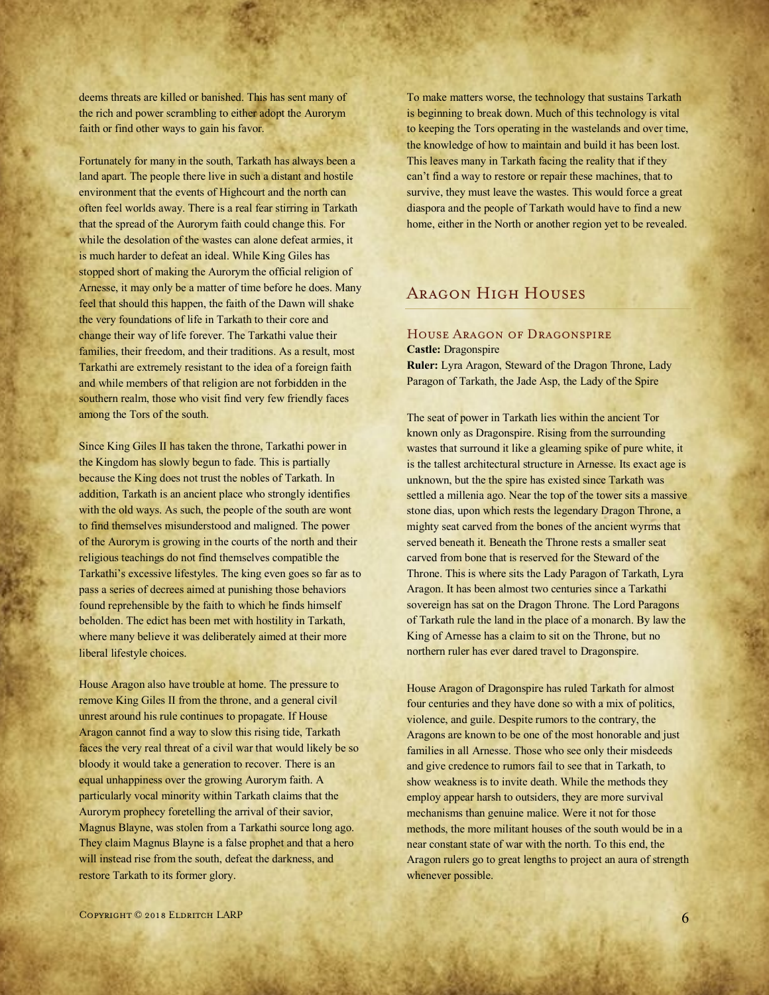deems threats are killed or banished. This has sent many of the rich and power scrambling to either adopt the Aurorym faith or find other ways to gain his favor.

Fortunately for many in the south, Tarkath has always been a land apart. The people there live in such a distant and hostile environment that the events of Highcourt and the north can often feel worlds away. There is a real fear stirring in Tarkath that the spread of the Aurorym faith could change this. For while the desolation of the wastes can alone defeat armies, it is much harder to defeat an ideal. While King Giles has stopped short of making the Aurorym the official religion of Arnesse, it may only be a matter of time before he does. Many feel that should this happen, the faith of the Dawn will shake the very foundations of life in Tarkath to their core and change their way of life forever. The Tarkathi value their families, their freedom, and their traditions. As a result, most Tarkathi are extremely resistant to the idea of a foreign faith and while members of that religion are not forbidden in the southern realm, those who visit find very few friendly faces among the Tors of the south.

Since King Giles II has taken the throne, Tarkathi power in the Kingdom has slowly begun to fade. This is partially because the King does not trust the nobles of Tarkath. In addition, Tarkath is an ancient place who strongly identifies with the old ways. As such, the people of the south are wont to find themselves misunderstood and maligned. The power of the Aurorym is growing in the courts of the north and their religious teachings do not find themselves compatible the Tarkathi's excessive lifestyles. The king even goes so far as to pass a series of decrees aimed at punishing those behaviors found reprehensible by the faith to which he finds himself beholden. The edict has been met with hostility in Tarkath, where many believe it was deliberately aimed at their more liberal lifestyle choices.

House Aragon also have trouble at home. The pressure to remove King Giles II from the throne, and a general civil unrest around his rule continues to propagate. If House Aragon cannot find a way to slow this rising tide, Tarkath faces the very real threat of a civil war that would likely be so bloody it would take a generation to recover. There is an equal unhappiness over the growing Aurorym faith. A particularly vocal minority within Tarkath claims that the Aurorym prophecy foretelling the arrival of their savior, Magnus Blayne, was stolen from a Tarkathi source long ago. They claim Magnus Blayne is a false prophet and that a hero will instead rise from the south, defeat the darkness, and restore Tarkath to its former glory.

To make matters worse, the technology that sustains Tarkath is beginning to break down. Much of this technology is vital to keeping the Tors operating in the wastelands and over time, the knowledge of how to maintain and build it has been lost. This leaves many in Tarkath facing the reality that if they can't find a way to restore or repair these machines, that to survive, they must leave the wastes. This would force a great diaspora and the people of Tarkath would have to find a new home, either in the North or another region yet to be revealed.

# Aragon High Houses

#### House Aragon of Dragonspire **Castle:** Dragonspire

**Ruler:** Lyra Aragon, Steward of the Dragon Throne, Lady Paragon of Tarkath, the Jade Asp, the Lady of the Spire

The seat of power in Tarkath lies within the ancient Tor known only as Dragonspire. Rising from the surrounding wastes that surround it like a gleaming spike of pure white, it is the tallest architectural structure in Arnesse. Its exact age is unknown, but the the spire has existed since Tarkath was settled a millenia ago. Near the top of the tower sits a massive stone dias, upon which rests the legendary Dragon Throne, a mighty seat carved from the bones of the ancient wyrms that served beneath it. Beneath the Throne rests a smaller seat carved from bone that is reserved for the Steward of the Throne. This is where sits the Lady Paragon of Tarkath, Lyra Aragon. It has been almost two centuries since a Tarkathi sovereign has sat on the Dragon Throne. The Lord Paragons of Tarkath rule the land in the place of a monarch. By law the King of Arnesse has a claim to sit on the Throne, but no northern ruler has ever dared travel to Dragonspire.

House Aragon of Dragonspire has ruled Tarkath for almost four centuries and they have done so with a mix of politics, violence, and guile. Despite rumors to the contrary, the Aragons are known to be one of the most honorable and just families in all Arnesse. Those who see only their misdeeds and give credence to rumors fail to see that in Tarkath, to show weakness is to invite death. While the methods they employ appear harsh to outsiders, they are more survival mechanisms than genuine malice. Were it not for those methods, the more militant houses of the south would be in a near constant state of war with the north. To this end, the Aragon rulers go to great lengths to project an aura of strength whenever possible.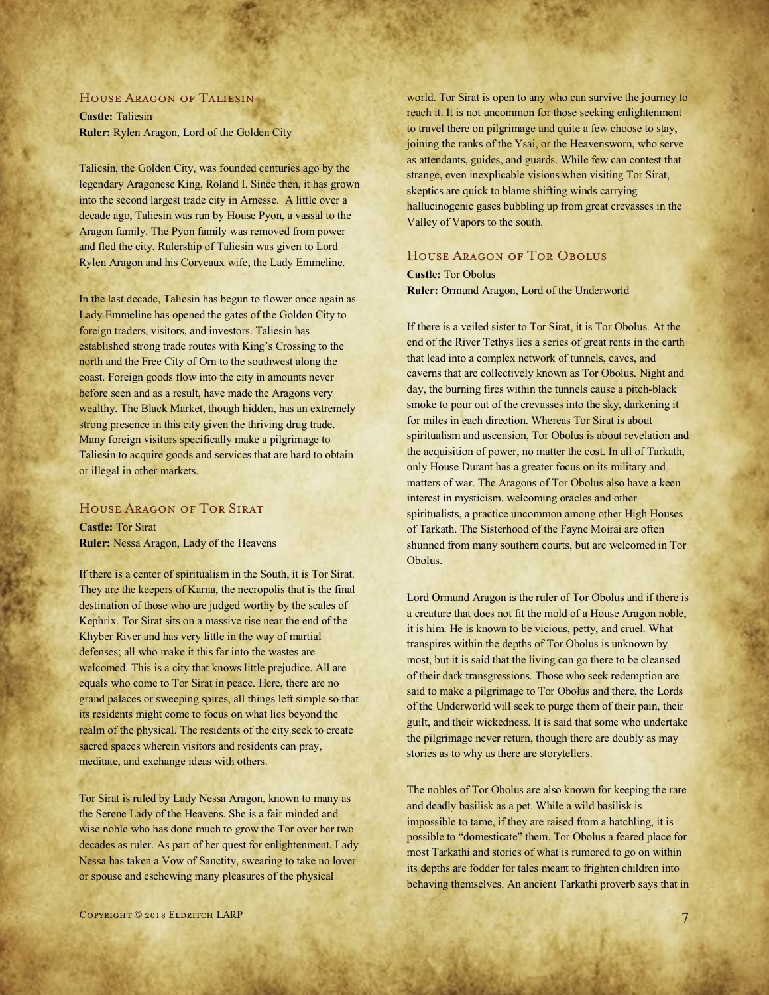#### House Aragon of Taliesin

**Castle:** Taliesin **Ruler:** Rylen Aragon, Lord of the Golden City

Taliesin, the Golden City, was founded centuries ago by the legendary Aragonese King, Roland I. Since then, it has grown into the second largest trade city in Arnesse. A little over a decade ago, Taliesin was run by House Pyon, a vassal to the Aragon family. The Pyon family was removed from power and fled the city. Rulership of Taliesin was given to Lord Rylen Aragon and his Corveaux wife, the Lady Emmeline.

In the last decade, Taliesin has begun to flower once again as Lady Emmeline has opened the gates of the Golden City to foreign traders, visitors, and investors. Taliesin has established strong trade routes with King's Crossing to the north and the Free City of Orn to the southwest along the coast. Foreign goods flow into the city in amounts never before seen and as a result, have made the Aragons very wealthy. The Black Market, though hidden, has an extremely strong presence in this city given the thriving drug trade. Many foreign visitors specifically make a pilgrimage to Taliesin to acquire goods and services that are hard to obtain or illegal in other markets.

## HOUSE ARAGON OF TOR SIRAT

**Castle:** Tor Sirat **Ruler:** Nessa Aragon, Lady of the Heavens

If there is a center of spiritualism in the South, it is Tor Sirat. They are the keepers of Karna, the necropolis that is the final destination of those who are judged worthy by the scales of Kephrix. Tor Sirat sits on a massive rise near the end of the Khyber River and has very little in the way of martial defenses; all who make it this far into the wastes are welcomed. This is a city that knows little prejudice. All are equals who come to Tor Sirat in peace. Here, there are no grand palaces or sweeping spires, all things left simple so that its residents might come to focus on what lies beyond the realm of the physical. The residents of the city seek to create sacred spaces wherein visitors and residents can pray, meditate, and exchange ideas with others.

Tor Sirat is ruled by Lady Nessa Aragon, known to many as the Serene Lady of the Heavens. She is a fair minded and wise noble who has done much to grow the Tor over her two decades as ruler. As part of her quest for enlightenment, Lady Nessa has taken a Vow of Sanctity, swearing to take no lover or spouse and eschewing many pleasures of the physical

world. Tor Sirat is open to any who can survive the journey to reach it. It is not uncommon for those seeking enlightenment to travel there on pilgrimage and quite a few choose to stay, joining the ranks of the Ysai, or the Heavensworn, who serve as attendants, guides, and guards. While few can contest that strange, even inexplicable visions when visiting Tor Sirat, skeptics are quick to blame shifting winds carrying hallucinogenic gases bubbling up from great crevasses in the Valley of Vapors to the south.

# HOUSE ARAGON OF TOR OBOLUS

**Castle:** Tor Obolus **Ruler:** Ormund Aragon, Lord of the Underworld

If there is a veiled sister to Tor Sirat, it is Tor Obolus. At the end of the River Tethys lies a series of great rents in the earth that lead into a complex network of tunnels, caves, and caverns that are collectively known as Tor Obolus. Night and day, the burning fires within the tunnels cause a pitch-black smoke to pour out of the crevasses into the sky, darkening it for miles in each direction. Whereas Tor Sirat is about spiritualism and ascension, Tor Obolus is about revelation and the acquisition of power, no matter the cost. In all of Tarkath, only House Durant has a greater focus on its military and matters of war. The Aragons of Tor Obolus also have a keen interest in mysticism, welcoming oracles and other spiritualists, a practice uncommon among other High Houses of Tarkath. The Sisterhood of the Fayne Moirai are often shunned from many southern courts, but are welcomed in Tor Obolus.

Lord Ormund Aragon is the ruler of Tor Obolus and if there is a creature that does not fit the mold of a House Aragon noble, it is him. He is known to be vicious, petty, and cruel. What transpires within the depths of Tor Obolus is unknown by most, but it is said that the living can go there to be cleansed of their dark transgressions. Those who seek redemption are said to make a pilgrimage to Tor Obolus and there, the Lords of the Underworld will seek to purge them of their pain, their guilt, and their wickedness. It is said that some who undertake the pilgrimage never return, though there are doubly as may stories as to why as there are storytellers.

The nobles of Tor Obolus are also known for keeping the rare and deadly basilisk as a pet. While a wild basilisk is impossible to tame, if they are raised from a hatchling, it is possible to "domesticate" them. Tor Obolus a feared place for most Tarkathi and stories of what is rumored to go on within its depths are fodder for tales meant to frighten children into behaving themselves. An ancient Tarkathi proverb says that in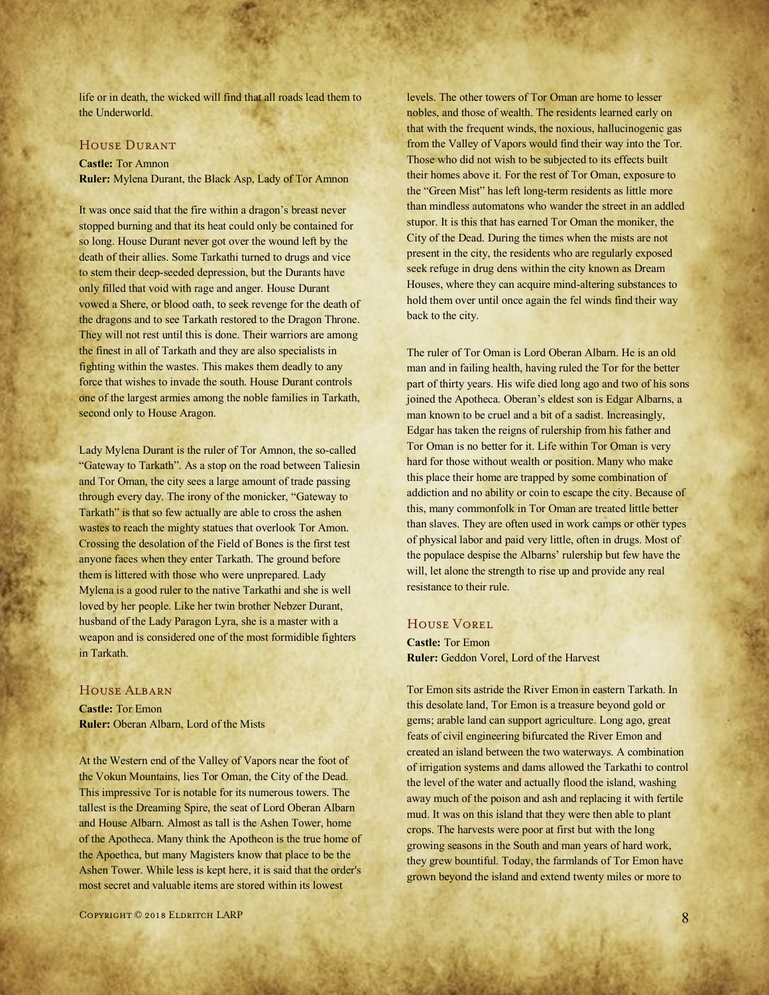life or in death, the wicked will find that all roads lead them to the Underworld.

#### House Durant

#### **Castle:** Tor Amnon

**Ruler:** Mylena Durant, the Black Asp, Lady of Tor Amnon

It was once said that the fire within a dragon's breast never stopped burning and that its heat could only be contained for so long. House Durant never got over the wound left by the death of their allies. Some Tarkathi turned to drugs and vice to stem their deep-seeded depression, but the Durants have only filled that void with rage and anger. House Durant vowed a Shere, or blood oath, to seek revenge for the death of the dragons and to see Tarkath restored to the Dragon Throne. They will not rest until this is done. Their warriors are among the finest in all of Tarkath and they are also specialists in fighting within the wastes. This makes them deadly to any force that wishes to invade the south. House Durant controls one of the largest armies among the noble families in Tarkath, second only to House Aragon.

Lady Mylena Durant is the ruler of Tor Amnon, the so-called "Gateway to Tarkath". As a stop on the road between Taliesin and Tor Oman, the city sees a large amount of trade passing through every day. The irony of the monicker, "Gateway to Tarkath" is that so few actually are able to cross the ashen wastes to reach the mighty statues that overlook Tor Amon. Crossing the desolation of the Field of Bones is the first test anyone faces when they enter Tarkath. The ground before them is littered with those who were unprepared. Lady Mylena is a good ruler to the native Tarkathi and she is well loved by her people. Like her twin brother Nebzer Durant, husband of the Lady Paragon Lyra, she is a master with a weapon and is considered one of the most formidible fighters in Tarkath.

#### House Albarn

**Castle:** Tor Emon **Ruler:** Oberan Albarn, Lord of the Mists

At the Western end of the Valley of Vapors near the foot of the Vokun Mountains, lies Tor Oman, the City of the Dead. This impressive Tor is notable for its numerous towers. The tallest is the Dreaming Spire, the seat of Lord Oberan Albarn and House Albarn. Almost as tall is the Ashen Tower, home of the Apotheca. Many think the Apotheon is the true home of the Apoethca, but many Magisters know that place to be the Ashen Tower. While less is kept here, it is said that the order's most secret and valuable items are stored within its lowest

levels. The other towers of Tor Oman are home to lesser nobles, and those of wealth. The residents learned early on that with the frequent winds, the noxious, hallucinogenic gas from the Valley of Vapors would find their way into the Tor. Those who did not wish to be subjected to its effects built their homes above it. For the rest of Tor Oman, exposure to the "Green Mist" has left long-term residents as little more than mindless automatons who wander the street in an addled stupor. It is this that has earned Tor Oman the moniker, the City of the Dead. During the times when the mists are not present in the city, the residents who are regularly exposed seek refuge in drug dens within the city known as Dream Houses, where they can acquire mind-altering substances to hold them over until once again the fel winds find their way back to the city.

The ruler of Tor Oman is Lord Oberan Albarn. He is an old man and in failing health, having ruled the Tor for the better part of thirty years. His wife died long ago and two of his sons joined the Apotheca. Oberan's eldest son is Edgar Albarns, a man known to be cruel and a bit of a sadist. Increasingly, Edgar has taken the reigns of rulership from his father and Tor Oman is no better for it. Life within Tor Oman is very hard for those without wealth or position. Many who make this place their home are trapped by some combination of addiction and no ability or coin to escape the city. Because of this, many commonfolk in Tor Oman are treated little better than slaves. They are often used in work camps or other types of physical labor and paid very little, often in drugs. Most of the populace despise the Albarns' rulership but few have the will, let alone the strength to rise up and provide any real resistance to their rule.

#### House Vorel

**Castle:** Tor Emon **Ruler:** Geddon Vorel, Lord of the Harvest

Tor Emon sits astride the River Emon in eastern Tarkath. In this desolate land, Tor Emon is a treasure beyond gold or gems; arable land can support agriculture. Long ago, great feats of civil engineering bifurcated the River Emon and created an island between the two waterways. A combination of irrigation systems and dams allowed the Tarkathi to control the level of the water and actually flood the island, washing away much of the poison and ash and replacing it with fertile mud. It was on this island that they were then able to plant crops. The harvests were poor at first but with the long growing seasons in the South and man years of hard work, they grew bountiful. Today, the farmlands of Tor Emon have grown beyond the island and extend twenty miles or more to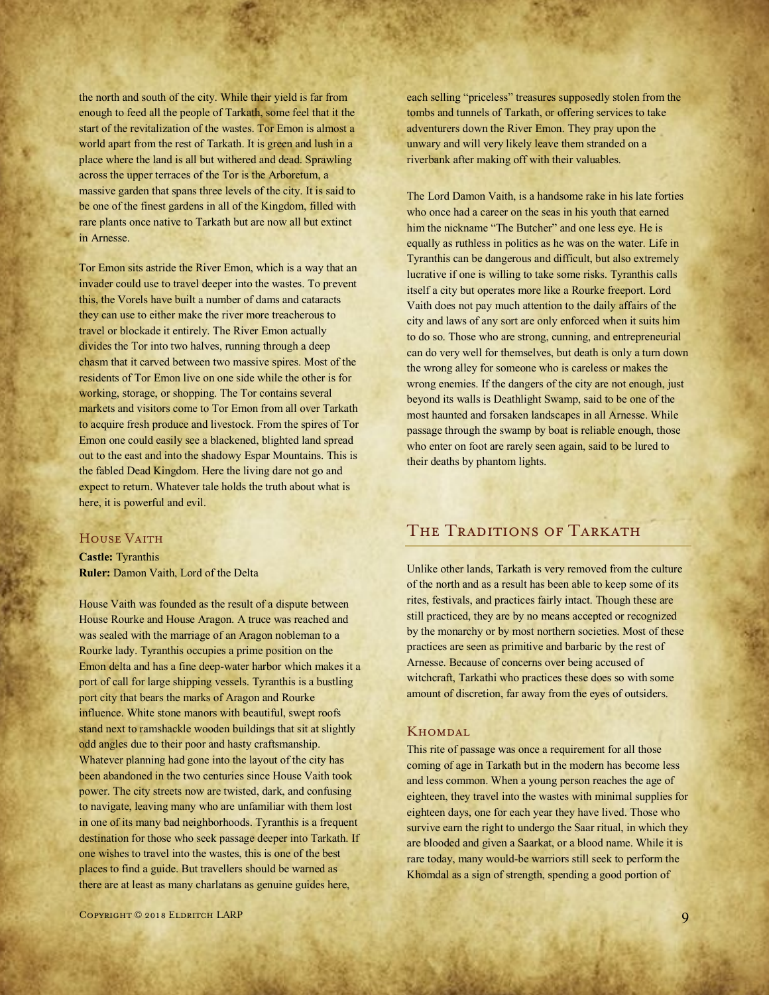the north and south of the city. While their yield is far from enough to feed all the people of Tarkath, some feel that it the start of the revitalization of the wastes. Tor Emon is almost a world apart from the rest of Tarkath. It is green and lush in a place where the land is all but withered and dead. Sprawling across the upper terraces of the Tor is the Arboretum, a massive garden that spans three levels of the city. It is said to be one of the finest gardens in all of the Kingdom, filled with rare plants once native to Tarkath but are now all but extinct in Arnesse.

Tor Emon sits astride the River Emon, which is a way that an invader could use to travel deeper into the wastes. To prevent this, the Vorels have built a number of dams and cataracts they can use to either make the river more treacherous to travel or blockade it entirely. The River Emon actually divides the Tor into two halves, running through a deep chasm that it carved between two massive spires. Most of the residents of Tor Emon live on one side while the other is for working, storage, or shopping. The Tor contains several markets and visitors come to Tor Emon from all over Tarkath to acquire fresh produce and livestock. From the spires of Tor Emon one could easily see a blackened, blighted land spread out to the east and into the shadowy Espar Mountains. This is the fabled Dead Kingdom. Here the living dare not go and expect to return. Whatever tale holds the truth about what is here, it is powerful and evil.

### HOUSE VAITH

**Castle:** Tyranthis **Ruler:** Damon Vaith, Lord of the Delta

House Vaith was founded as the result of a dispute between House Rourke and House Aragon. A truce was reached and was sealed with the marriage of an Aragon nobleman to a Rourke lady. Tyranthis occupies a prime position on the Emon delta and has a fine deep-water harbor which makes it a port of call for large shipping vessels. Tyranthis is a bustling port city that bears the marks of Aragon and Rourke influence. White stone manors with beautiful, swept roofs stand next to ramshackle wooden buildings that sit at slightly odd angles due to their poor and hasty craftsmanship. Whatever planning had gone into the layout of the city has been abandoned in the two centuries since House Vaith took power. The city streets now are twisted, dark, and confusing to navigate, leaving many who are unfamiliar with them lost in one of its many bad neighborhoods. Tyranthis is a frequent destination for those who seek passage deeper into Tarkath. If one wishes to travel into the wastes, this is one of the best places to find a guide. But travellers should be warned as there are at least as many charlatans as genuine guides here,

each selling "priceless" treasures supposedly stolen from the tombs and tunnels of Tarkath, or offering services to take adventurers down the River Emon. They pray upon the unwary and will very likely leave them stranded on a riverbank after making off with their valuables.

The Lord Damon Vaith, is a handsome rake in his late forties who once had a career on the seas in his youth that earned him the nickname "The Butcher" and one less eye. He is equally as ruthless in politics as he was on the water. Life in Tyranthis can be dangerous and difficult, but also extremely lucrative if one is willing to take some risks. Tyranthis calls itself a city but operates more like a Rourke freeport. Lord Vaith does not pay much attention to the daily affairs of the city and laws of any sort are only enforced when it suits him to do so. Those who are strong, cunning, and entrepreneurial can do very well for themselves, but death is only a turn down the wrong alley for someone who is careless or makes the wrong enemies. If the dangers of the city are not enough, just beyond its walls is Deathlight Swamp, said to be one of the most haunted and forsaken landscapes in all Arnesse. While passage through the swamp by boat is reliable enough, those who enter on foot are rarely seen again, said to be lured to their deaths by phantom lights.

# THE TRADITIONS OF TARKATH

Unlike other lands, Tarkath is very removed from the culture of the north and as a result has been able to keep some of its rites, festivals, and practices fairly intact. Though these are still practiced, they are by no means accepted or recognized by the monarchy or by most northern societies. Most of these practices are seen as primitive and barbaric by the rest of Arnesse. Because of concerns over being accused of witchcraft, Tarkathi who practices these does so with some amount of discretion, far away from the eyes of outsiders.

#### **KHOMDAL**

This rite of passage was once a requirement for all those coming of age in Tarkath but in the modern has become less and less common. When a young person reaches the age of eighteen, they travel into the wastes with minimal supplies for eighteen days, one for each year they have lived. Those who survive earn the right to undergo the Saar ritual, in which they are blooded and given a Saarkat, or a blood name. While it is rare today, many would-be warriors still seek to perform the Khomdal as a sign of strength, spending a good portion of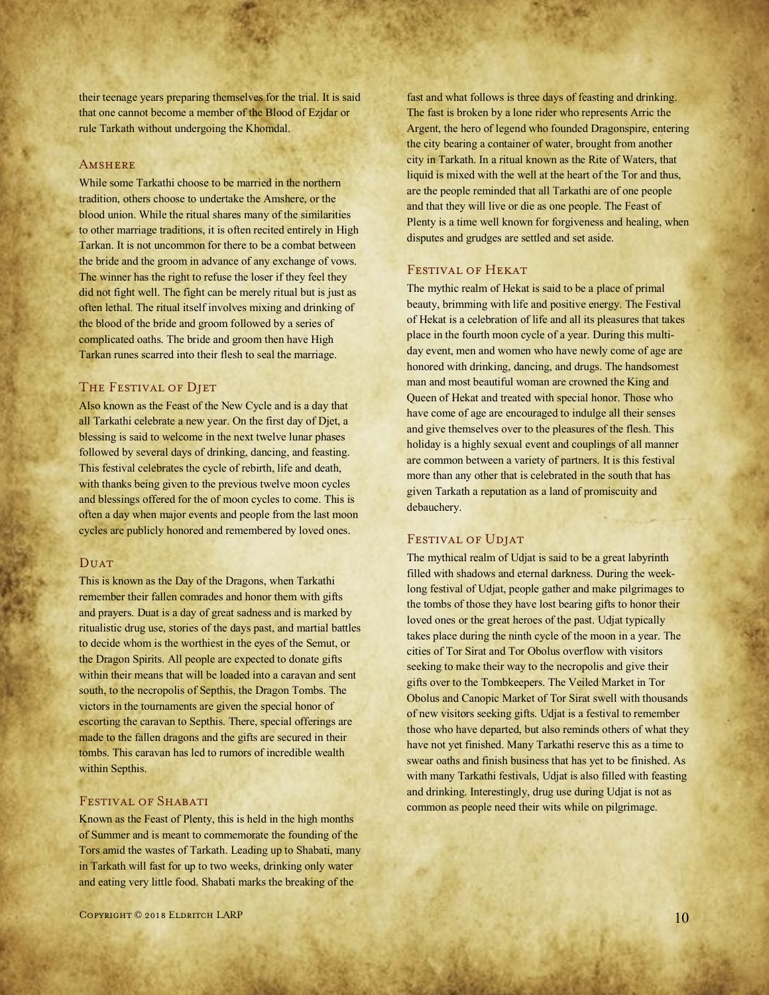their teenage years preparing themselves for the trial. It is said that one cannot become a member of the Blood of Ezjdar or rule Tarkath without undergoing the Khomdal.

#### **AMSHERE**

While some Tarkathi choose to be married in the northern tradition, others choose to undertake the Amshere, or the blood union. While the ritual shares many of the similarities to other marriage traditions, it is often recited entirely in High Tarkan. It is not uncommon for there to be a combat between the bride and the groom in advance of any exchange of vows. The winner has the right to refuse the loser if they feel they did not fight well. The fight can be merely ritual but is just as often lethal. The ritual itself involves mixing and drinking of the blood of the bride and groom followed by a series of complicated oaths. The bride and groom then have High Tarkan runes scarred into their flesh to seal the marriage.

### THE FESTIVAL OF DJET

Also known as the Feast of the New Cycle and is a day that all Tarkathi celebrate a new year. On the first day of Djet, a blessing is said to welcome in the next twelve lunar phases followed by several days of drinking, dancing, and feasting. This festival celebrates the cycle of rebirth, life and death, with thanks being given to the previous twelve moon cycles and blessings offered for the of moon cycles to come. This is often a day when major events and people from the last moon cycles are publicly honored and remembered by loved ones.

#### **DUAT**

This is known as the Day of the Dragons, when Tarkathi remember their fallen comrades and honor them with gifts and prayers. Duat is a day of great sadness and is marked by ritualistic drug use, stories of the days past, and martial battles to decide whom is the worthiest in the eyes of the Semut, or the Dragon Spirits. All people are expected to donate gifts within their means that will be loaded into a caravan and sent south, to the necropolis of Septhis, the Dragon Tombs. The victors in the tournaments are given the special honor of escorting the caravan to Septhis. There, special offerings are made to the fallen dragons and the gifts are secured in their tombs. This caravan has led to rumors of incredible wealth within Septhis.

# FESTIVAL OF SHABATI

Known as the Feast of Plenty, this is held in the high months of Summer and is meant to commemorate the founding of the Tors amid the wastes of Tarkath. Leading up to Shabati, many in Tarkath will fast for up to two weeks, drinking only water and eating very little food. Shabati marks the breaking of the

fast and what follows is three days of feasting and drinking. The fast is broken by a lone rider who represents Arric the Argent, the hero of legend who founded Dragonspire, entering the city bearing a container of water, brought from another city in Tarkath. In a ritual known as the Rite of Waters, that liquid is mixed with the well at the heart of the Tor and thus, are the people reminded that all Tarkathi are of one people and that they will live or die as one people. The Feast of Plenty is a time well known for forgiveness and healing, when disputes and grudges are settled and set aside.

# FESTIVAL OF HEKAT

The mythic realm of Hekat is said to be a place of primal beauty, brimming with life and positive energy. The Festival of Hekat is a celebration of life and all its pleasures that takes place in the fourth moon cycle of a year. During this multiday event, men and women who have newly come of age are honored with drinking, dancing, and drugs. The handsomest man and most beautiful woman are crowned the King and Queen of Hekat and treated with special honor. Those who have come of age are encouraged to indulge all their senses and give themselves over to the pleasures of the flesh. This holiday is a highly sexual event and couplings of all manner are common between a variety of partners. It is this festival more than any other that is celebrated in the south that has given Tarkath a reputation as a land of promiscuity and debauchery.

#### FESTIVAL OF UDJAT

The mythical realm of Udjat is said to be a great labyrinth filled with shadows and eternal darkness. During the weeklong festival of Udjat, people gather and make pilgrimages to the tombs of those they have lost bearing gifts to honor their loved ones or the great heroes of the past. Udjat typically takes place during the ninth cycle of the moon in a year. The cities of Tor Sirat and Tor Obolus overflow with visitors seeking to make their way to the necropolis and give their gifts over to the Tombkeepers. The Veiled Market in Tor Obolus and Canopic Market of Tor Sirat swell with thousands of new visitors seeking gifts. Udjat is a festival to remember those who have departed, but also reminds others of what they have not yet finished. Many Tarkathi reserve this as a time to swear oaths and finish business that has yet to be finished. As with many Tarkathi festivals, Udjat is also filled with feasting and drinking. Interestingly, drug use during Udjat is not as common as people need their wits while on pilgrimage.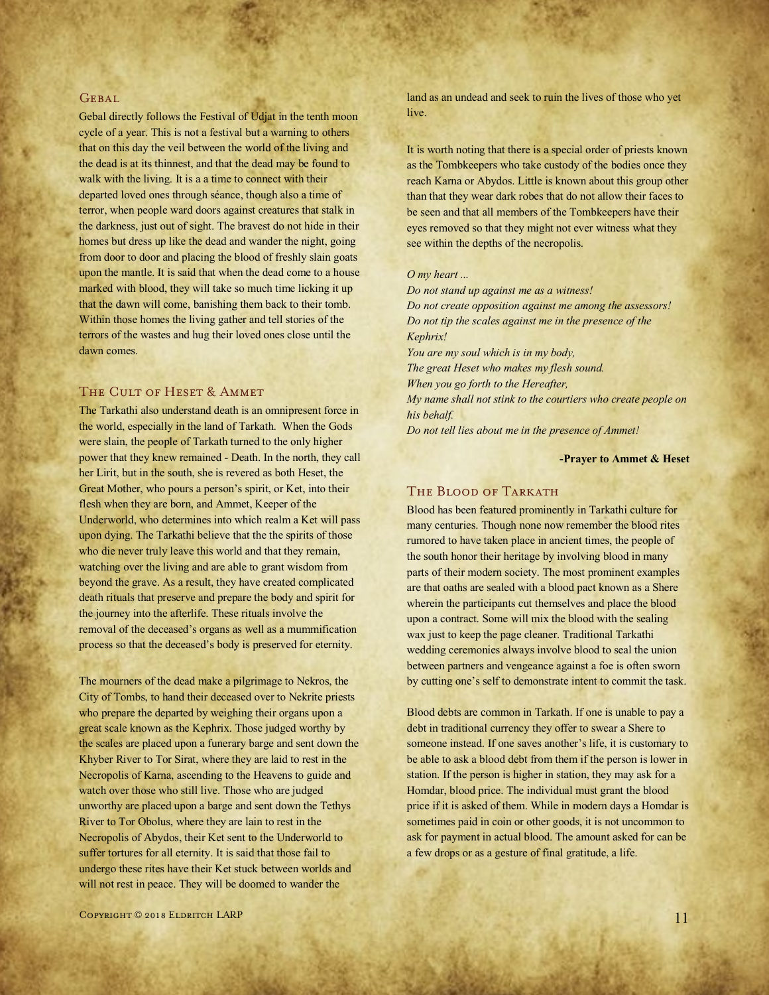#### **GEBAL**

Gebal directly follows the Festival of Udjat in the tenth moon cycle of a year. This is not a festival but a warning to others that on this day the veil between the world of the living and the dead is at its thinnest, and that the dead may be found to walk with the living. It is a a time to connect with their departed loved ones through séance, though also a time of terror, when people ward doors against creatures that stalk in the darkness, just out of sight. The bravest do not hide in their homes but dress up like the dead and wander the night, going from door to door and placing the blood of freshly slain goats upon the mantle. It is said that when the dead come to a house marked with blood, they will take so much time licking it up that the dawn will come, banishing them back to their tomb. Within those homes the living gather and tell stories of the terrors of the wastes and hug their loved ones close until the dawn comes.

#### THE CULT OF HESET & AMMET

The Tarkathi also understand death is an omnipresent force in the world, especially in the land of Tarkath. When the Gods were slain, the people of Tarkath turned to the only higher power that they knew remained - Death. In the north, they call her Lirit, but in the south, she is revered as both Heset, the Great Mother, who pours a person's spirit, or Ket, into their flesh when they are born, and Ammet, Keeper of the Underworld, who determines into which realm a Ket will pass upon dying. The Tarkathi believe that the the spirits of those who die never truly leave this world and that they remain, watching over the living and are able to grant wisdom from beyond the grave. As a result, they have created complicated death rituals that preserve and prepare the body and spirit for the journey into the afterlife. These rituals involve the removal of the deceased's organs as well as a mummification process so that the deceased's body is preserved for eternity.

The mourners of the dead make a pilgrimage to Nekros, the City of Tombs, to hand their deceased over to Nekrite priests who prepare the departed by weighing their organs upon a great scale known as the Kephrix. Those judged worthy by the scales are placed upon a funerary barge and sent down the Khyber River to Tor Sirat, where they are laid to rest in the Necropolis of Karna, ascending to the Heavens to guide and watch over those who still live. Those who are judged unworthy are placed upon a barge and sent down the Tethys River to Tor Obolus, where they are lain to rest in the Necropolis of Abydos, their Ket sent to the Underworld to suffer tortures for all eternity. It is said that those fail to undergo these rites have their Ket stuck between worlds and will not rest in peace. They will be doomed to wander the

land as an undead and seek to ruin the lives of those who yet live.

It is worth noting that there is a special order of priests known as the Tombkeepers who take custody of the bodies once they reach Karna or Abydos. Little is known about this group other than that they wear dark robes that do not allow their faces to be seen and that all members of the Tombkeepers have their eyes removed so that they might not ever witness what they see within the depths of the necropolis.

#### *O my heart ...*

*Do not stand up against me as a witness! Do not create opposition against me among the assessors! Do not tip the scales against me in the presence of the Kephrix! You are my soul which is in my body,*

*The great Heset who makes my flesh sound.*

*When you go forth to the Hereafter,*

*My name shall not stink to the courtiers who create people on his behalf.*

*Do not tell lies about me in the presence of Ammet!*

#### **-Prayer to Ammet & Heset**

# THE BLOOD OF TARKATH

Blood has been featured prominently in Tarkathi culture for many centuries. Though none now remember the blood rites rumored to have taken place in ancient times, the people of the south honor their heritage by involving blood in many parts of their modern society. The most prominent examples are that oaths are sealed with a blood pact known as a Shere wherein the participants cut themselves and place the blood upon a contract. Some will mix the blood with the sealing wax just to keep the page cleaner. Traditional Tarkathi wedding ceremonies always involve blood to seal the union between partners and vengeance against a foe is often sworn by cutting one's self to demonstrate intent to commit the task.

Blood debts are common in Tarkath. If one is unable to pay a debt in traditional currency they offer to swear a Shere to someone instead. If one saves another's life, it is customary to be able to ask a blood debt from them if the person is lower in station. If the person is higher in station, they may ask for a Homdar, blood price. The individual must grant the blood price if it is asked of them. While in modern days a Homdar is sometimes paid in coin or other goods, it is not uncommon to ask for payment in actual blood. The amount asked for can be a few drops or as a gesture of final gratitude, a life.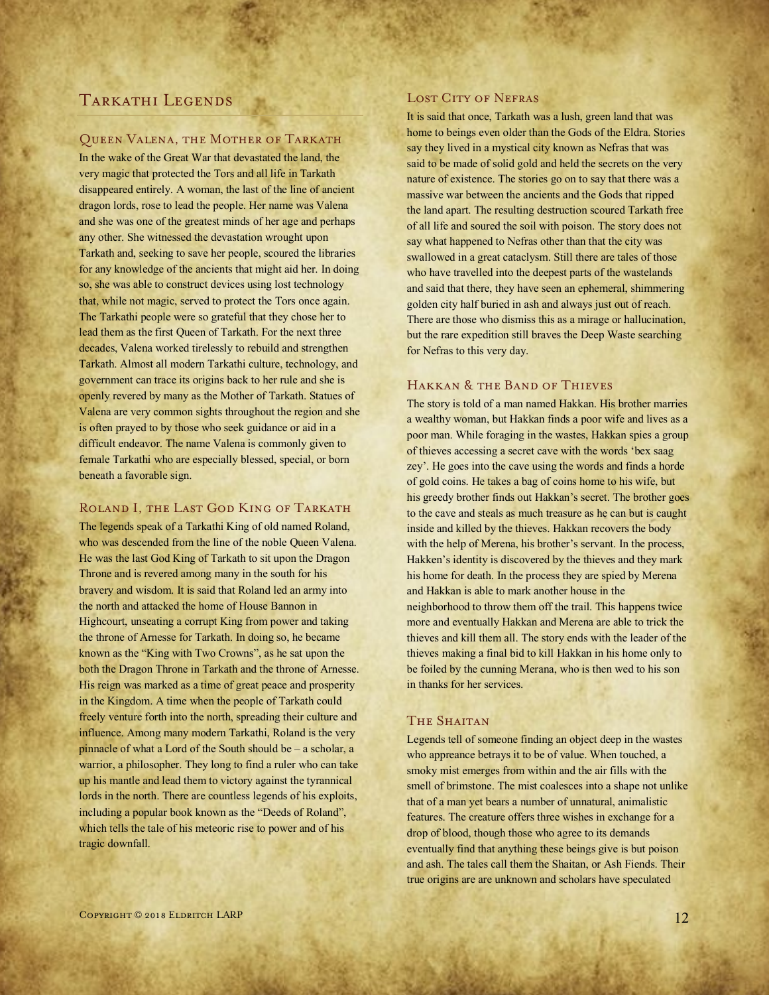# TARKATHI LEGENDS

#### Queen Valena, the Mother of Tarkath

In the wake of the Great War that devastated the land, the very magic that protected the Tors and all life in Tarkath disappeared entirely. A woman, the last of the line of ancient dragon lords, rose to lead the people. Her name was Valena and she was one of the greatest minds of her age and perhaps any other. She witnessed the devastation wrought upon Tarkath and, seeking to save her people, scoured the libraries for any knowledge of the ancients that might aid her. In doing so, she was able to construct devices using lost technology that, while not magic, served to protect the Tors once again. The Tarkathi people were so grateful that they chose her to lead them as the first Queen of Tarkath. For the next three decades, Valena worked tirelessly to rebuild and strengthen Tarkath. Almost all modern Tarkathi culture, technology, and government can trace its origins back to her rule and she is openly revered by many as the Mother of Tarkath. Statues of Valena are very common sights throughout the region and she is often prayed to by those who seek guidance or aid in a difficult endeavor. The name Valena is commonly given to female Tarkathi who are especially blessed, special, or born beneath a favorable sign.

# ROLAND I, THE LAST GOD KING OF TARKATH

The legends speak of a Tarkathi King of old named Roland, who was descended from the line of the noble Queen Valena. He was the last God King of Tarkath to sit upon the Dragon Throne and is revered among many in the south for his bravery and wisdom. It is said that Roland led an army into the north and attacked the home of House Bannon in Highcourt, unseating a corrupt King from power and taking the throne of Arnesse for Tarkath. In doing so, he became known as the "King with Two Crowns", as he sat upon the both the Dragon Throne in Tarkath and the throne of Arnesse. His reign was marked as a time of great peace and prosperity in the Kingdom. A time when the people of Tarkath could freely venture forth into the north, spreading their culture and influence. Among many modern Tarkathi, Roland is the very pinnacle of what a Lord of the South should be – a scholar, a warrior, a philosopher. They long to find a ruler who can take up his mantle and lead them to victory against the tyrannical lords in the north. There are countless legends of his exploits, including a popular book known as the "Deeds of Roland", which tells the tale of his meteoric rise to power and of his tragic downfall.

#### LOST CITY OF NEFRAS

It is said that once, Tarkath was a lush, green land that was home to beings even older than the Gods of the Eldra. Stories say they lived in a mystical city known as Nefras that was said to be made of solid gold and held the secrets on the very nature of existence. The stories go on to say that there was a massive war between the ancients and the Gods that ripped the land apart. The resulting destruction scoured Tarkath free of all life and soured the soil with poison. The story does not say what happened to Nefras other than that the city was swallowed in a great cataclysm. Still there are tales of those who have travelled into the deepest parts of the wastelands and said that there, they have seen an ephemeral, shimmering golden city half buried in ash and always just out of reach. There are those who dismiss this as a mirage or hallucination, but the rare expedition still braves the Deep Waste searching for Nefras to this very day.

# Hakkan & the Band of Thieves

The story is told of a man named Hakkan. His brother marries a wealthy woman, but Hakkan finds a poor wife and lives as a poor man. While foraging in the wastes, Hakkan spies a group of thieves accessing a secret cave with the words 'bex saag zey'. He goes into the cave using the words and finds a horde of gold coins. He takes a bag of coins home to his wife, but his greedy brother finds out Hakkan's secret. The brother goes to the cave and steals as much treasure as he can but is caught inside and killed by the thieves. Hakkan recovers the body with the help of Merena, his brother's servant. In the process, Hakken's identity is discovered by the thieves and they mark his home for death. In the process they are spied by Merena and Hakkan is able to mark another house in the neighborhood to throw them off the trail. This happens twice more and eventually Hakkan and Merena are able to trick the thieves and kill them all. The story ends with the leader of the thieves making a final bid to kill Hakkan in his home only to be foiled by the cunning Merana, who is then wed to his son in thanks for her services.

# THE SHAITAN

Legends tell of someone finding an object deep in the wastes who appreance betrays it to be of value. When touched, a smoky mist emerges from within and the air fills with the smell of brimstone. The mist coalesces into a shape not unlike that of a man yet bears a number of unnatural, animalistic features. The creature offers three wishes in exchange for a drop of blood, though those who agree to its demands eventually find that anything these beings give is but poison and ash. The tales call them the Shaitan, or Ash Fiends. Their true origins are are unknown and scholars have speculated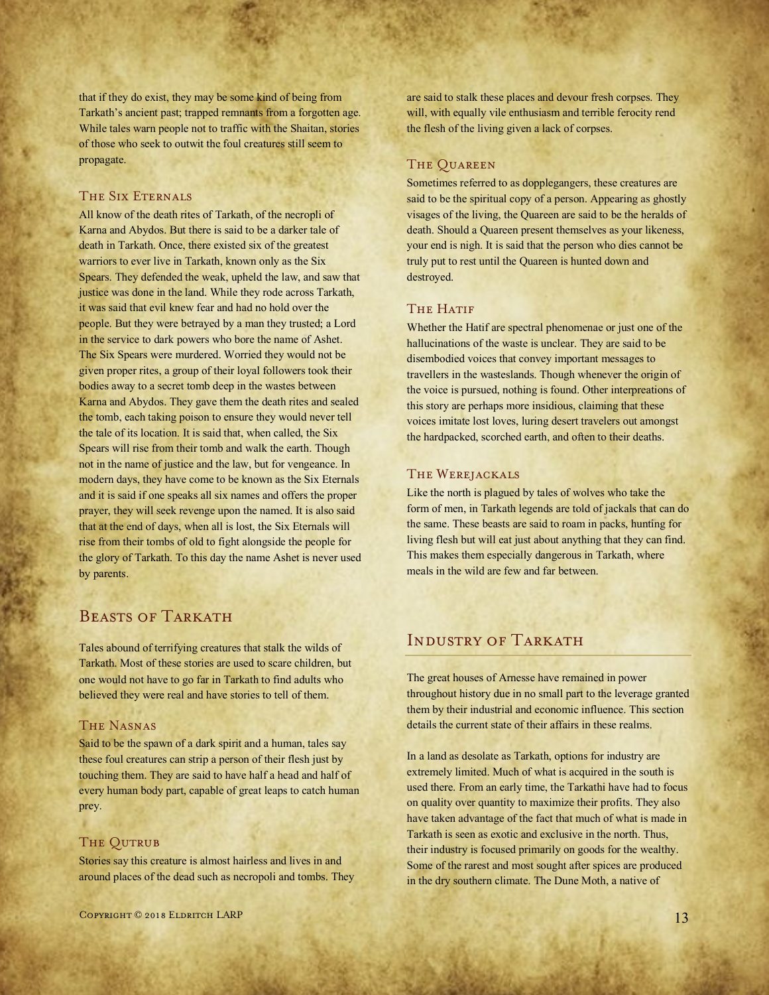that if they do exist, they may be some kind of being from Tarkath's ancient past; trapped remnants from a forgotten age. While tales warn people not to traffic with the Shaitan, stories of those who seek to outwit the foul creatures still seem to propagate.

## THE SIX ETERNALS

All know of the death rites of Tarkath, of the necropli of Karna and Abydos. But there is said to be a darker tale of death in Tarkath. Once, there existed six of the greatest warriors to ever live in Tarkath, known only as the Six Spears. They defended the weak, upheld the law, and saw that justice was done in the land. While they rode across Tarkath, it was said that evil knew fear and had no hold over the people. But they were betrayed by a man they trusted; a Lord in the service to dark powers who bore the name of Ashet. The Six Spears were murdered. Worried they would not be given proper rites, a group of their loyal followers took their bodies away to a secret tomb deep in the wastes between Karna and Abydos. They gave them the death rites and sealed the tomb, each taking poison to ensure they would never tell the tale of its location. It is said that, when called, the Six Spears will rise from their tomb and walk the earth. Though not in the name of justice and the law, but for vengeance. In modern days, they have come to be known as the Six Eternals and it is said if one speaks all six names and offers the proper prayer, they will seek revenge upon the named. It is also said that at the end of days, when all is lost, the Six Eternals will rise from their tombs of old to fight alongside the people for the glory of Tarkath. To this day the name Ashet is never used by parents.

# BEASTS OF TARKATH

Tales abound of terrifying creatures that stalk the wilds of Tarkath. Most of these stories are used to scare children, but one would not have to go far in Tarkath to find adults who believed they were real and have stories to tell of them.

# The Nasnas

Said to be the spawn of a dark spirit and a human, tales say these foul creatures can strip a person of their flesh just by touching them. They are said to have half a head and half of every human body part, capable of great leaps to catch human prey.

# THE QUTRUB

Stories say this creature is almost hairless and lives in and around places of the dead such as necropoli and tombs. They are said to stalk these places and devour fresh corpses. They will, with equally vile enthusiasm and terrible ferocity rend the flesh of the living given a lack of corpses.

#### The Quareen

Sometimes referred to as dopplegangers, these creatures are said to be the spiritual copy of a person. Appearing as ghostly visages of the living, the Quareen are said to be the heralds of death. Should a Quareen present themselves as your likeness, your end is nigh. It is said that the person who dies cannot be truly put to rest until the Quareen is hunted down and destroyed.

#### THE HATIF

Whether the Hatif are spectral phenomenae or just one of the hallucinations of the waste is unclear. They are said to be disembodied voices that convey important messages to travellers in the wasteslands. Though whenever the origin of the voice is pursued, nothing is found. Other interpreations of this story are perhaps more insidious, claiming that these voices imitate lost loves, luring desert travelers out amongst the hardpacked, scorched earth, and often to their deaths.

#### The Werejackals

Like the north is plagued by tales of wolves who take the form of men, in Tarkath legends are told of jackals that can do the same. These beasts are said to roam in packs, hunting for living flesh but will eat just about anything that they can find. This makes them especially dangerous in Tarkath, where meals in the wild are few and far between.

# INDUSTRY OF TARKATH

The great houses of Arnesse have remained in power throughout history due in no small part to the leverage granted them by their industrial and economic influence. This section details the current state of their affairs in these realms.

In a land as desolate as Tarkath, options for industry are extremely limited. Much of what is acquired in the south is used there. From an early time, the Tarkathi have had to focus on quality over quantity to maximize their profits. They also have taken advantage of the fact that much of what is made in Tarkath is seen as exotic and exclusive in the north. Thus, their industry is focused primarily on goods for the wealthy. Some of the rarest and most sought after spices are produced in the dry southern climate. The Dune Moth, a native of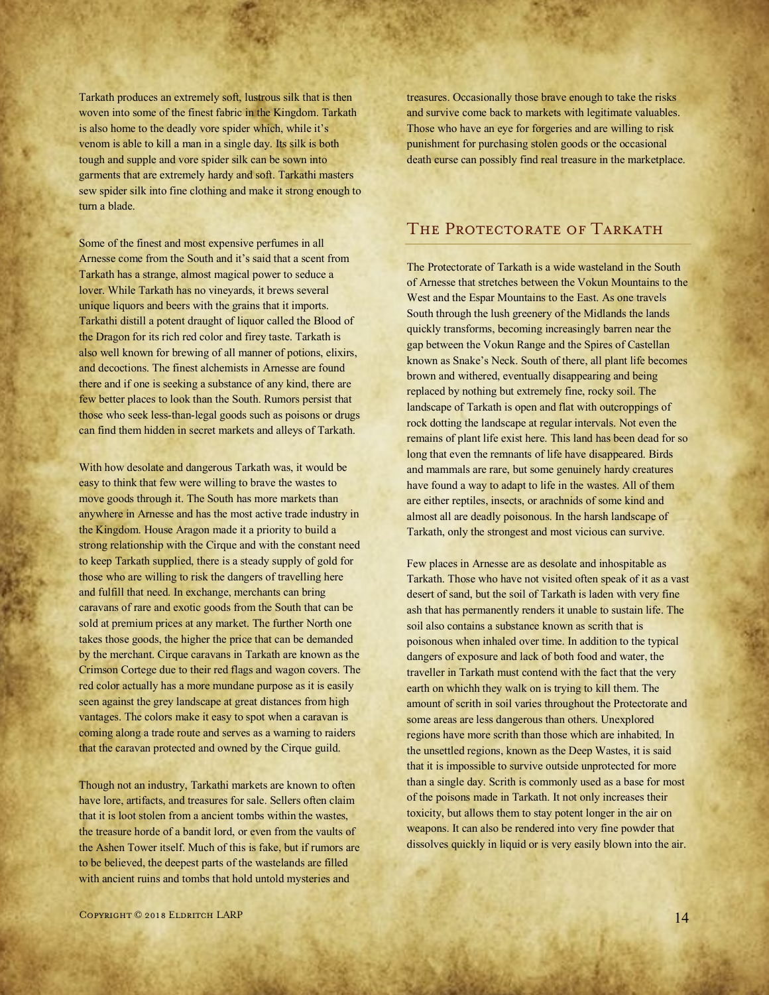Tarkath produces an extremely soft, lustrous silk that is then woven into some of the finest fabric in the Kingdom. Tarkath is also home to the deadly vore spider which, while it's venom is able to kill a man in a single day. Its silk is both tough and supple and vore spider silk can be sown into garments that are extremely hardy and soft. Tarkathi masters sew spider silk into fine clothing and make it strong enough to turn a blade.

Some of the finest and most expensive perfumes in all Arnesse come from the South and it's said that a scent from Tarkath has a strange, almost magical power to seduce a lover. While Tarkath has no vineyards, it brews several unique liquors and beers with the grains that it imports. Tarkathi distill a potent draught of liquor called the Blood of the Dragon for its rich red color and firey taste. Tarkath is also well known for brewing of all manner of potions, elixirs, and decoctions. The finest alchemists in Arnesse are found there and if one is seeking a substance of any kind, there are few better places to look than the South. Rumors persist that those who seek less-than-legal goods such as poisons or drugs can find them hidden in secret markets and alleys of Tarkath.

With how desolate and dangerous Tarkath was, it would be easy to think that few were willing to brave the wastes to move goods through it. The South has more markets than anywhere in Arnesse and has the most active trade industry in the Kingdom. House Aragon made it a priority to build a strong relationship with the Cirque and with the constant need to keep Tarkath supplied, there is a steady supply of gold for those who are willing to risk the dangers of travelling here and fulfill that need. In exchange, merchants can bring caravans of rare and exotic goods from the South that can be sold at premium prices at any market. The further North one takes those goods, the higher the price that can be demanded by the merchant. Cirque caravans in Tarkath are known as the Crimson Cortege due to their red flags and wagon covers. The red color actually has a more mundane purpose as it is easily seen against the grey landscape at great distances from high vantages. The colors make it easy to spot when a caravan is coming along a trade route and serves as a warning to raiders that the caravan protected and owned by the Cirque guild.

Though not an industry, Tarkathi markets are known to often have lore, artifacts, and treasures for sale. Sellers often claim that it is loot stolen from a ancient tombs within the wastes, the treasure horde of a bandit lord, or even from the vaults of the Ashen Tower itself. Much of this is fake, but if rumors are to be believed, the deepest parts of the wastelands are filled with ancient ruins and tombs that hold untold mysteries and

treasures. Occasionally those brave enough to take the risks and survive come back to markets with legitimate valuables. Those who have an eye for forgeries and are willing to risk punishment for purchasing stolen goods or the occasional death curse can possibly find real treasure in the marketplace.

# THE PROTECTORATE OF TARKATH

The Protectorate of Tarkath is a wide wasteland in the South of Arnesse that stretches between the Vokun Mountains to the West and the Espar Mountains to the East. As one travels South through the lush greenery of the Midlands the lands quickly transforms, becoming increasingly barren near the gap between the Vokun Range and the Spires of Castellan known as Snake's Neck. South of there, all plant life becomes brown and withered, eventually disappearing and being replaced by nothing but extremely fine, rocky soil. The landscape of Tarkath is open and flat with outcroppings of rock dotting the landscape at regular intervals. Not even the remains of plant life exist here. This land has been dead for so long that even the remnants of life have disappeared. Birds and mammals are rare, but some genuinely hardy creatures have found a way to adapt to life in the wastes. All of them are either reptiles, insects, or arachnids of some kind and almost all are deadly poisonous. In the harsh landscape of Tarkath, only the strongest and most vicious can survive.

Few places in Arnesse are as desolate and inhospitable as Tarkath. Those who have not visited often speak of it as a vast desert of sand, but the soil of Tarkath is laden with very fine ash that has permanently renders it unable to sustain life. The soil also contains a substance known as scrith that is poisonous when inhaled over time. In addition to the typical dangers of exposure and lack of both food and water, the traveller in Tarkath must contend with the fact that the very earth on whichh they walk on is trying to kill them. The amount of scrith in soil varies throughout the Protectorate and some areas are less dangerous than others. Unexplored regions have more scrith than those which are inhabited. In the unsettled regions, known as the Deep Wastes, it is said that it is impossible to survive outside unprotected for more than a single day. Scrith is commonly used as a base for most of the poisons made in Tarkath. It not only increases their toxicity, but allows them to stay potent longer in the air on weapons. It can also be rendered into very fine powder that dissolves quickly in liquid or is very easily blown into the air.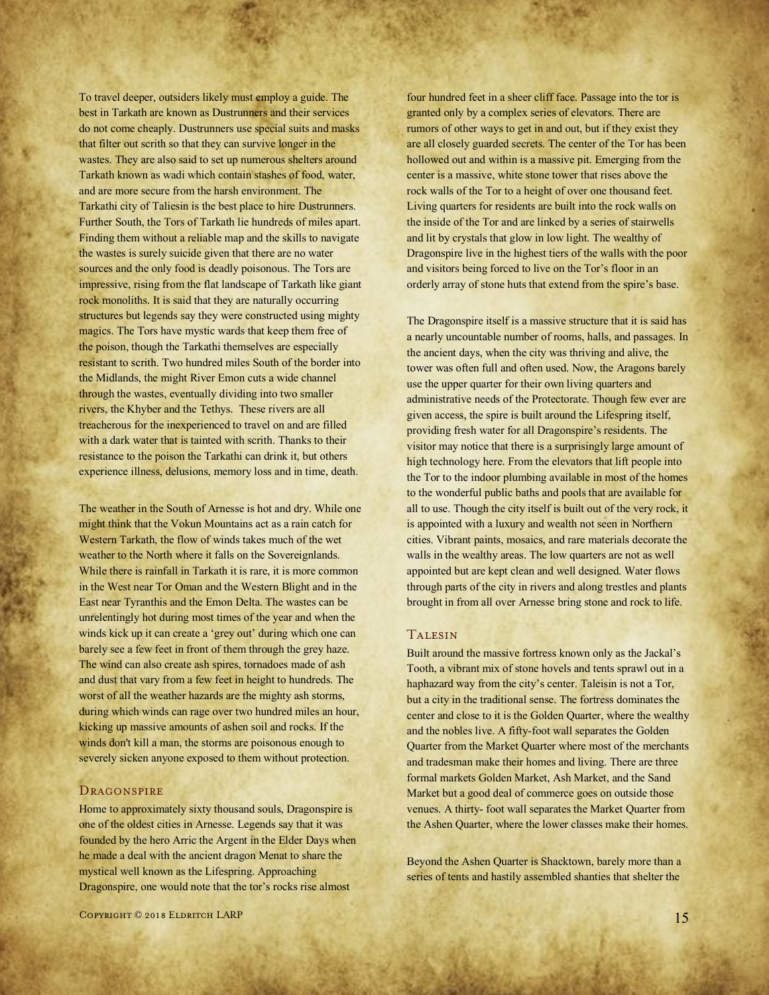To travel deeper, outsiders likely must employ a guide. The best in Tarkath are known as Dustrunners and their services do not come cheaply. Dustrunners use special suits and masks that filter out scrith so that they can survive longer in the wastes. They are also said to set up numerous shelters around Tarkath known as wadi which contain stashes of food, water, and are more secure from the harsh environment. The Tarkathi city of Taliesin is the best place to hire Dustrunners. Further South, the Tors of Tarkath lie hundreds of miles apart. Finding them without a reliable map and the skills to navigate the wastes is surely suicide given that there are no water sources and the only food is deadly poisonous. The Tors are impressive, rising from the flat landscape of Tarkath like giant rock monoliths. It is said that they are naturally occurring structures but legends say they were constructed using mighty magics. The Tors have mystic wards that keep them free of the poison, though the Tarkathi themselves are especially resistant to scrith. Two hundred miles South of the border into the Midlands, the might River Emon cuts a wide channel through the wastes, eventually dividing into two smaller rivers, the Khyber and the Tethys. These rivers are all treacherous for the inexperienced to travel on and are filled with a dark water that is tainted with scrith. Thanks to their resistance to the poison the Tarkathi can drink it, but others experience illness, delusions, memory loss and in time, death.

The weather in the South of Arnesse is hot and dry. While one might think that the Vokun Mountains act as a rain catch for Western Tarkath, the flow of winds takes much of the wet weather to the North where it falls on the Sovereignlands. While there is rainfall in Tarkath it is rare, it is more common in the West near Tor Oman and the Western Blight and in the East near Tyranthis and the Emon Delta. The wastes can be unrelentingly hot during most times of the year and when the winds kick up it can create a 'grey out' during which one can barely see a few feet in front of them through the grey haze. The wind can also create ash spires, tornadoes made of ash and dust that vary from a few feet in height to hundreds. The worst of all the weather hazards are the mighty ash storms, during which winds can rage over two hundred miles an hour, kicking up massive amounts of ashen soil and rocks. If the winds don't kill a man, the storms are poisonous enough to severely sicken anyone exposed to them without protection.

#### **DRAGONSPIRE**

Home to approximately sixty thousand souls, Dragonspire is one of the oldest cities in Arnesse. Legends say that it was founded by the hero Arric the Argent in the Elder Days when he made a deal with the ancient dragon Menat to share the mystical well known as the Lifespring. Approaching Dragonspire, one would note that the tor's rocks rise almost

four hundred feet in a sheer cliff face. Passage into the tor is granted only by a complex series of elevators. There are rumors of other ways to get in and out, but if they exist they are all closely guarded secrets. The center of the Tor has been hollowed out and within is a massive pit. Emerging from the center is a massive, white stone tower that rises above the rock walls of the Tor to a height of over one thousand feet. Living quarters for residents are built into the rock walls on the inside of the Tor and are linked by a series of stairwells and lit by crystals that glow in low light. The wealthy of Dragonspire live in the highest tiers of the walls with the poor and visitors being forced to live on the Tor's floor in an orderly array of stone huts that extend from the spire's base.

The Dragonspire itself is a massive structure that it is said has a nearly uncountable number of rooms, halls, and passages. In the ancient days, when the city was thriving and alive, the tower was often full and often used. Now, the Aragons barely use the upper quarter for their own living quarters and administrative needs of the Protectorate. Though few ever are given access, the spire is built around the Lifespring itself, providing fresh water for all Dragonspire's residents. The visitor may notice that there is a surprisingly large amount of high technology here. From the elevators that lift people into the Tor to the indoor plumbing available in most of the homes to the wonderful public baths and pools that are available for all to use. Though the city itself is built out of the very rock, it is appointed with a luxury and wealth not seen in Northern cities. Vibrant paints, mosaics, and rare materials decorate the walls in the wealthy areas. The low quarters are not as well appointed but are kept clean and well designed. Water flows through parts of the city in rivers and along trestles and plants brought in from all over Arnesse bring stone and rock to life.

## Talesin

Built around the massive fortress known only as the Jackal's Tooth, a vibrant mix of stone hovels and tents sprawl out in a haphazard way from the city's center. Taleisin is not a Tor, but a city in the traditional sense. The fortress dominates the center and close to it is the Golden Quarter, where the wealthy and the nobles live. A fifty-foot wall separates the Golden Quarter from the Market Quarter where most of the merchants and tradesman make their homes and living. There are three formal markets Golden Market, Ash Market, and the Sand Market but a good deal of commerce goes on outside those venues. A thirty- foot wall separates the Market Quarter from the Ashen Quarter, where the lower classes make their homes.

Beyond the Ashen Quarter is Shacktown, barely more than a series of tents and hastily assembled shanties that shelter the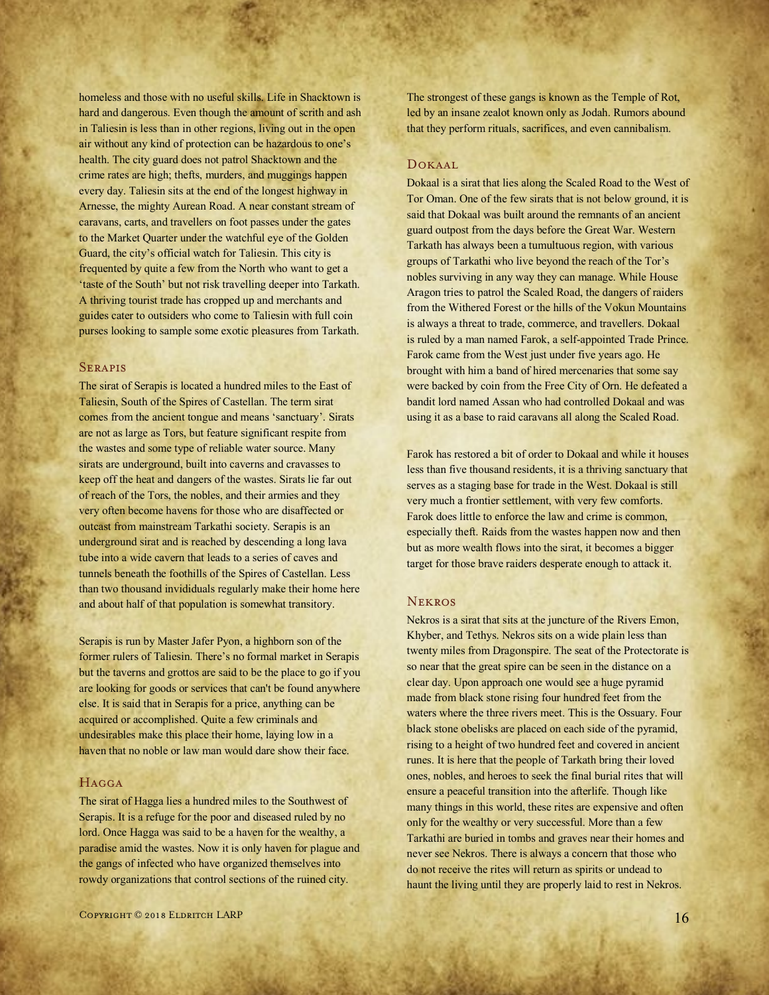homeless and those with no useful skills. Life in Shacktown is hard and dangerous. Even though the amount of scrith and ash in Taliesin is less than in other regions, living out in the open air without any kind of protection can be hazardous to one's health. The city guard does not patrol Shacktown and the crime rates are high; thefts, murders, and muggings happen every day. Taliesin sits at the end of the longest highway in Arnesse, the mighty Aurean Road. A near constant stream of caravans, carts, and travellers on foot passes under the gates to the Market Quarter under the watchful eye of the Golden Guard, the city's official watch for Taliesin. This city is frequented by quite a few from the North who want to get a 'taste of the South' but not risk travelling deeper into Tarkath. A thriving tourist trade has cropped up and merchants and guides cater to outsiders who come to Taliesin with full coin purses looking to sample some exotic pleasures from Tarkath.

#### **SERAPIS**

The sirat of Serapis is located a hundred miles to the East of Taliesin, South of the Spires of Castellan. The term sirat comes from the ancient tongue and means 'sanctuary'. Sirats are not as large as Tors, but feature significant respite from the wastes and some type of reliable water source. Many sirats are underground, built into caverns and cravasses to keep off the heat and dangers of the wastes. Sirats lie far out of reach of the Tors, the nobles, and their armies and they very often become havens for those who are disaffected or outcast from mainstream Tarkathi society. Serapis is an underground sirat and is reached by descending a long lava tube into a wide cavern that leads to a series of caves and tunnels beneath the foothills of the Spires of Castellan. Less than two thousand invididuals regularly make their home here and about half of that population is somewhat transitory.

Serapis is run by Master Jafer Pyon, a highborn son of the former rulers of Taliesin. There's no formal market in Serapis but the taverns and grottos are said to be the place to go if you are looking for goods or services that can't be found anywhere else. It is said that in Serapis for a price, anything can be acquired or accomplished. Quite a few criminals and undesirables make this place their home, laying low in a haven that no noble or law man would dare show their face.

#### **HAGGA**

The sirat of Hagga lies a hundred miles to the Southwest of Serapis. It is a refuge for the poor and diseased ruled by no lord. Once Hagga was said to be a haven for the wealthy, a paradise amid the wastes. Now it is only haven for plague and the gangs of infected who have organized themselves into rowdy organizations that control sections of the ruined city.

The strongest of these gangs is known as the Temple of Rot, led by an insane zealot known only as Jodah. Rumors abound that they perform rituals, sacrifices, and even cannibalism.

#### Dokaal

Dokaal is a sirat that lies along the Scaled Road to the West of Tor Oman. One of the few sirats that is not below ground, it is said that Dokaal was built around the remnants of an ancient guard outpost from the days before the Great War. Western Tarkath has always been a tumultuous region, with various groups of Tarkathi who live beyond the reach of the Tor's nobles surviving in any way they can manage. While House Aragon tries to patrol the Scaled Road, the dangers of raiders from the Withered Forest or the hills of the Vokun Mountains is always a threat to trade, commerce, and travellers. Dokaal is ruled by a man named Farok, a self-appointed Trade Prince. Farok came from the West just under five years ago. He brought with him a band of hired mercenaries that some say were backed by coin from the Free City of Orn. He defeated a bandit lord named Assan who had controlled Dokaal and was using it as a base to raid caravans all along the Scaled Road.

Farok has restored a bit of order to Dokaal and while it houses less than five thousand residents, it is a thriving sanctuary that serves as a staging base for trade in the West. Dokaal is still very much a frontier settlement, with very few comforts. Farok does little to enforce the law and crime is common, especially theft. Raids from the wastes happen now and then but as more wealth flows into the sirat, it becomes a bigger target for those brave raiders desperate enough to attack it.

## **NEKROS**

Nekros is a sirat that sits at the juncture of the Rivers Emon, Khyber, and Tethys. Nekros sits on a wide plain less than twenty miles from Dragonspire. The seat of the Protectorate is so near that the great spire can be seen in the distance on a clear day. Upon approach one would see a huge pyramid made from black stone rising four hundred feet from the waters where the three rivers meet. This is the Ossuary. Four black stone obelisks are placed on each side of the pyramid, rising to a height of two hundred feet and covered in ancient runes. It is here that the people of Tarkath bring their loved ones, nobles, and heroes to seek the final burial rites that will ensure a peaceful transition into the afterlife. Though like many things in this world, these rites are expensive and often only for the wealthy or very successful. More than a few Tarkathi are buried in tombs and graves near their homes and never see Nekros. There is always a concern that those who do not receive the rites will return as spirits or undead to haunt the living until they are properly laid to rest in Nekros.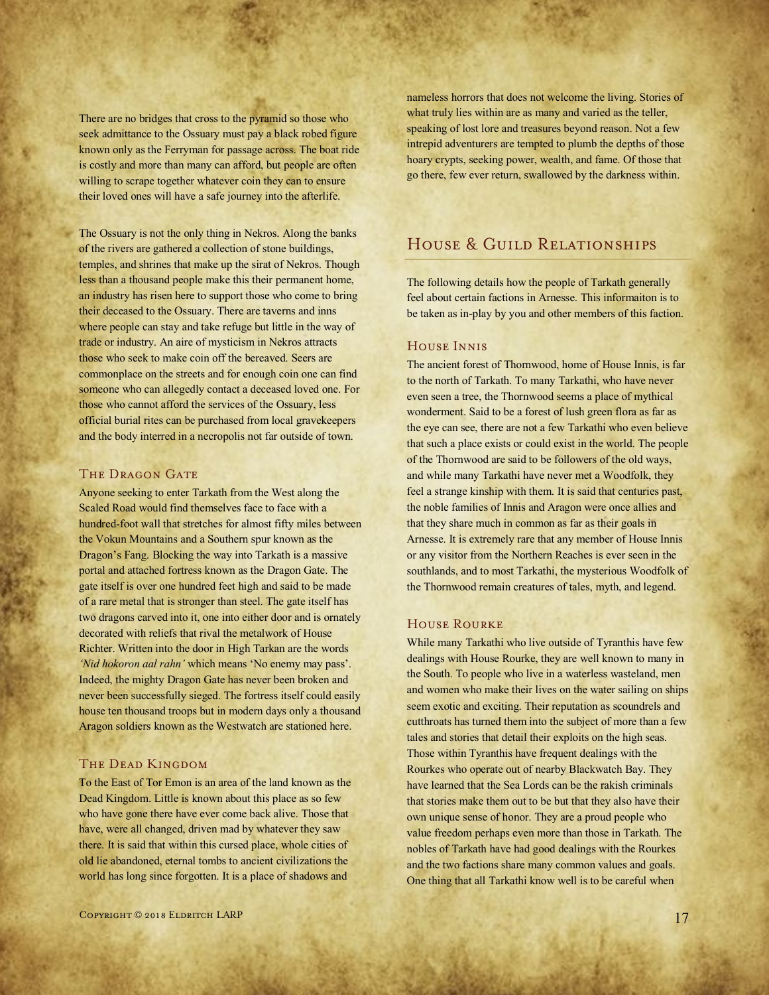There are no bridges that cross to the pyramid so those who seek admittance to the Ossuary must pay a black robed figure known only as the Ferryman for passage across. The boat ride is costly and more than many can afford, but people are often willing to scrape together whatever coin they can to ensure their loved ones will have a safe journey into the afterlife.

The Ossuary is not the only thing in Nekros. Along the banks of the rivers are gathered a collection of stone buildings, temples, and shrines that make up the sirat of Nekros. Though less than a thousand people make this their permanent home, an industry has risen here to support those who come to bring their deceased to the Ossuary. There are taverns and inns where people can stay and take refuge but little in the way of trade or industry. An aire of mysticism in Nekros attracts those who seek to make coin off the bereaved. Seers are commonplace on the streets and for enough coin one can find someone who can allegedly contact a deceased loved one. For those who cannot afford the services of the Ossuary, less official burial rites can be purchased from local gravekeepers and the body interred in a necropolis not far outside of town.

#### THE DRAGON GATE

Anyone seeking to enter Tarkath from the West along the Scaled Road would find themselves face to face with a hundred-foot wall that stretches for almost fifty miles between the Vokun Mountains and a Southern spur known as the Dragon's Fang. Blocking the way into Tarkath is a massive portal and attached fortress known as the Dragon Gate. The gate itself is over one hundred feet high and said to be made of a rare metal that is stronger than steel. The gate itself has two dragons carved into it, one into either door and is ornately decorated with reliefs that rival the metalwork of House Richter. Written into the door in High Tarkan are the words *'Nid hokoron aal rahn'* which means 'No enemy may pass'. Indeed, the mighty Dragon Gate has never been broken and never been successfully sieged. The fortress itself could easily house ten thousand troops but in modern days only a thousand Aragon soldiers known as the Westwatch are stationed here.

# THE DEAD KINGDOM

To the East of Tor Emon is an area of the land known as the Dead Kingdom. Little is known about this place as so few who have gone there have ever come back alive. Those that have, were all changed, driven mad by whatever they saw there. It is said that within this cursed place, whole cities of old lie abandoned, eternal tombs to ancient civilizations the world has long since forgotten. It is a place of shadows and

nameless horrors that does not welcome the living. Stories of what truly lies within are as many and varied as the teller, speaking of lost lore and treasures beyond reason. Not a few intrepid adventurers are tempted to plumb the depths of those hoary crypts, seeking power, wealth, and fame. Of those that go there, few ever return, swallowed by the darkness within.

# HOUSE & GUILD RELATIONSHIPS

The following details how the people of Tarkath generally feel about certain factions in Arnesse. This informaiton is to be taken as in-play by you and other members of this faction.

## House Innis

The ancient forest of Thornwood, home of House Innis, is far to the north of Tarkath. To many Tarkathi, who have never even seen a tree, the Thornwood seems a place of mythical wonderment. Said to be a forest of lush green flora as far as the eye can see, there are not a few Tarkathi who even believe that such a place exists or could exist in the world. The people of the Thornwood are said to be followers of the old ways, and while many Tarkathi have never met a Woodfolk, they feel a strange kinship with them. It is said that centuries past, the noble families of Innis and Aragon were once allies and that they share much in common as far as their goals in Arnesse. It is extremely rare that any member of House Innis or any visitor from the Northern Reaches is ever seen in the southlands, and to most Tarkathi, the mysterious Woodfolk of the Thornwood remain creatures of tales, myth, and legend.

#### House Rourke

While many Tarkathi who live outside of Tyranthis have few dealings with House Rourke, they are well known to many in the South. To people who live in a waterless wasteland, men and women who make their lives on the water sailing on ships seem exotic and exciting. Their reputation as scoundrels and cutthroats has turned them into the subject of more than a few tales and stories that detail their exploits on the high seas. Those within Tyranthis have frequent dealings with the Rourkes who operate out of nearby Blackwatch Bay. They have learned that the Sea Lords can be the rakish criminals that stories make them out to be but that they also have their own unique sense of honor. They are a proud people who value freedom perhaps even more than those in Tarkath. The nobles of Tarkath have had good dealings with the Rourkes and the two factions share many common values and goals. One thing that all Tarkathi know well is to be careful when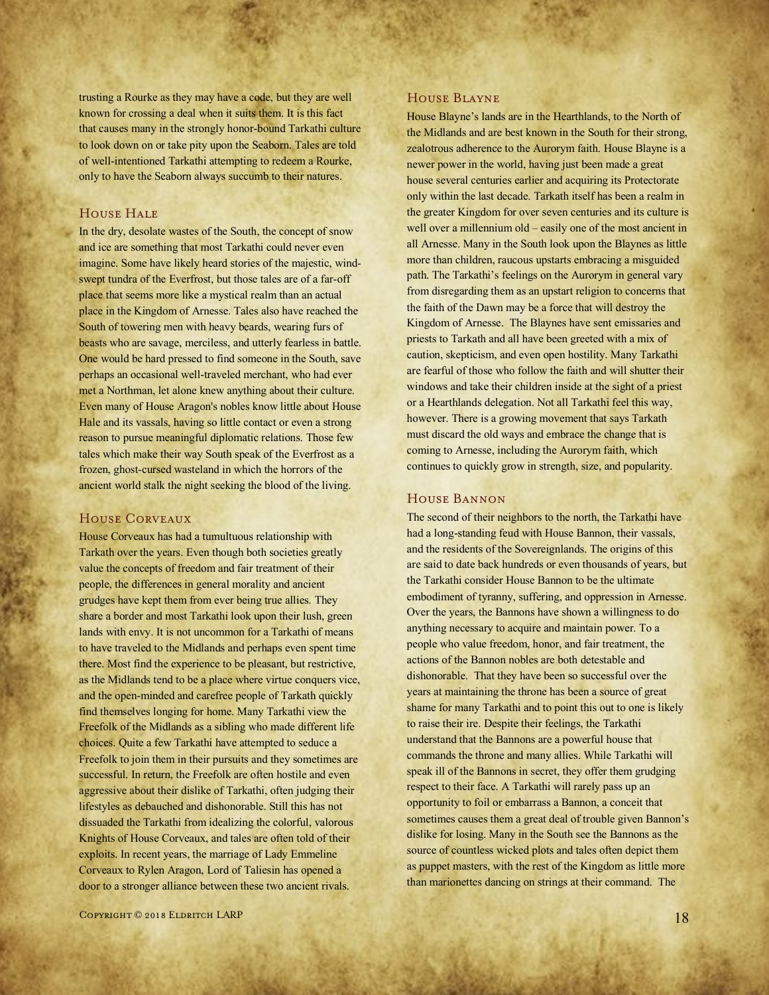trusting a Rourke as they may have a code, but they are well known for crossing a deal when it suits them. It is this fact that causes many in the strongly honor-bound Tarkathi culture to look down on or take pity upon the Seaborn. Tales are told of well-intentioned Tarkathi attempting to redeem a Rourke, only to have the Seaborn always succumb to their natures.

## HOUSE HALE

In the dry, desolate wastes of the South, the concept of snow and ice are something that most Tarkathi could never even imagine. Some have likely heard stories of the majestic, windswept tundra of the Everfrost, but those tales are of a far-off place that seems more like a mystical realm than an actual place in the Kingdom of Arnesse. Tales also have reached the South of towering men with heavy beards, wearing furs of beasts who are savage, merciless, and utterly fearless in battle. One would be hard pressed to find someone in the South, save perhaps an occasional well-traveled merchant, who had ever met a Northman, let alone knew anything about their culture. Even many of House Aragon's nobles know little about House Hale and its vassals, having so little contact or even a strong reason to pursue meaningful diplomatic relations. Those few tales which make their way South speak of the Everfrost as a frozen, ghost-cursed wasteland in which the horrors of the ancient world stalk the night seeking the blood of the living.

# House Corveaux

House Corveaux has had a tumultuous relationship with Tarkath over the years. Even though both societies greatly value the concepts of freedom and fair treatment of their people, the differences in general morality and ancient grudges have kept them from ever being true allies. They share a border and most Tarkathi look upon their lush, green lands with envy. It is not uncommon for a Tarkathi of means to have traveled to the Midlands and perhaps even spent time there. Most find the experience to be pleasant, but restrictive, as the Midlands tend to be a place where virtue conquers vice, and the open-minded and carefree people of Tarkath quickly find themselves longing for home. Many Tarkathi view the Freefolk of the Midlands as a sibling who made different life choices. Quite a few Tarkathi have attempted to seduce a Freefolk to join them in their pursuits and they sometimes are successful. In return, the Freefolk are often hostile and even aggressive about their dislike of Tarkathi, often judging their lifestyles as debauched and dishonorable. Still this has not dissuaded the Tarkathi from idealizing the colorful, valorous Knights of House Corveaux, and tales are often told of their exploits. In recent years, the marriage of Lady Emmeline Corveaux to Rylen Aragon, Lord of Taliesin has opened a door to a stronger alliance between these two ancient rivals.

#### House Blayne

House Blayne's lands are in the Hearthlands, to the North of the Midlands and are best known in the South for their strong, zealotrous adherence to the Aurorym faith. House Blayne is a newer power in the world, having just been made a great house several centuries earlier and acquiring its Protectorate only within the last decade. Tarkath itself has been a realm in the greater Kingdom for over seven centuries and its culture is well over a millennium old – easily one of the most ancient in all Arnesse. Many in the South look upon the Blaynes as little more than children, raucous upstarts embracing a misguided path. The Tarkathi's feelings on the Aurorym in general vary from disregarding them as an upstart religion to concerns that the faith of the Dawn may be a force that will destroy the Kingdom of Arnesse. The Blaynes have sent emissaries and priests to Tarkath and all have been greeted with a mix of caution, skepticism, and even open hostility. Many Tarkathi are fearful of those who follow the faith and will shutter their windows and take their children inside at the sight of a priest or a Hearthlands delegation. Not all Tarkathi feel this way, however. There is a growing movement that says Tarkath must discard the old ways and embrace the change that is coming to Arnesse, including the Aurorym faith, which continues to quickly grow in strength, size, and popularity.

#### House Bannon

The second of their neighbors to the north, the Tarkathi have had a long-standing feud with House Bannon, their vassals, and the residents of the Sovereignlands. The origins of this are said to date back hundreds or even thousands of years, but the Tarkathi consider House Bannon to be the ultimate embodiment of tyranny, suffering, and oppression in Arnesse. Over the years, the Bannons have shown a willingness to do anything necessary to acquire and maintain power. To a people who value freedom, honor, and fair treatment, the actions of the Bannon nobles are both detestable and dishonorable. That they have been so successful over the years at maintaining the throne has been a source of great shame for many Tarkathi and to point this out to one is likely to raise their ire. Despite their feelings, the Tarkathi understand that the Bannons are a powerful house that commands the throne and many allies. While Tarkathi will speak ill of the Bannons in secret, they offer them grudging respect to their face. A Tarkathi will rarely pass up an opportunity to foil or embarrass a Bannon, a conceit that sometimes causes them a great deal of trouble given Bannon's dislike for losing. Many in the South see the Bannons as the source of countless wicked plots and tales often depict them as puppet masters, with the rest of the Kingdom as little more than marionettes dancing on strings at their command. The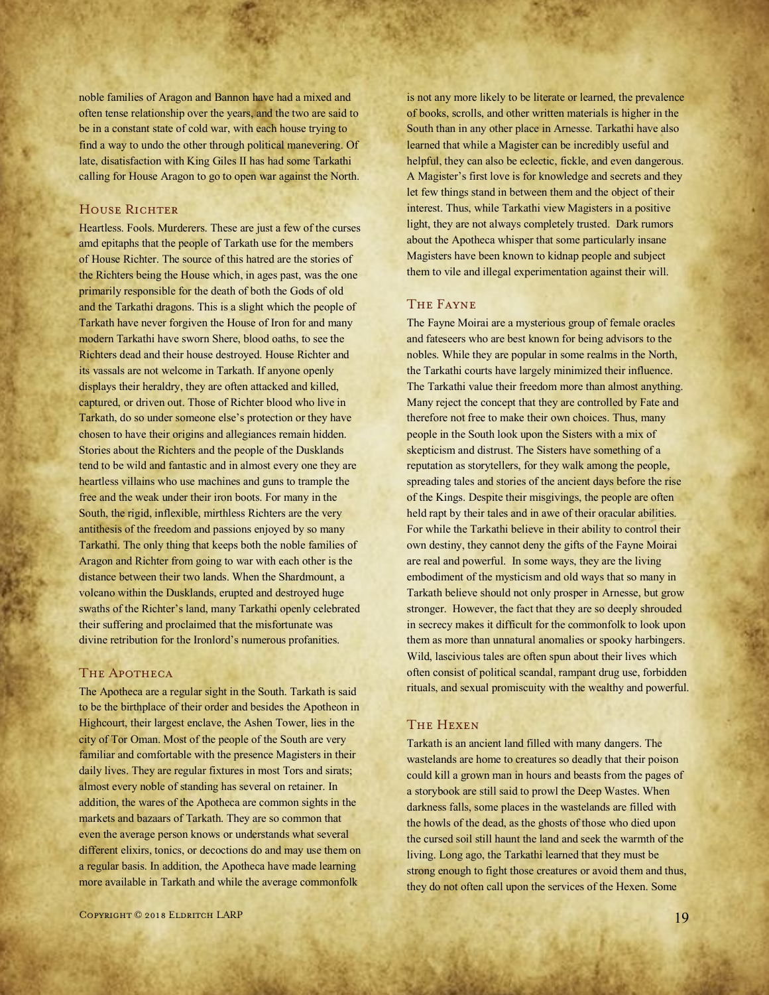noble families of Aragon and Bannon have had a mixed and often tense relationship over the years, and the two are said to be in a constant state of cold war, with each house trying to find a way to undo the other through political manevering. Of late, disatisfaction with King Giles II has had some Tarkathi calling for House Aragon to go to open war against the North.

# HOUSE RICHTER

Heartless. Fools. Murderers. These are just a few of the curses amd epitaphs that the people of Tarkath use for the members of House Richter. The source of this hatred are the stories of the Richters being the House which, in ages past, was the one primarily responsible for the death of both the Gods of old and the Tarkathi dragons. This is a slight which the people of Tarkath have never forgiven the House of Iron for and many modern Tarkathi have sworn Shere, blood oaths, to see the Richters dead and their house destroyed. House Richter and its vassals are not welcome in Tarkath. If anyone openly displays their heraldry, they are often attacked and killed, captured, or driven out. Those of Richter blood who live in Tarkath, do so under someone else's protection or they have chosen to have their origins and allegiances remain hidden. Stories about the Richters and the people of the Dusklands tend to be wild and fantastic and in almost every one they are heartless villains who use machines and guns to trample the free and the weak under their iron boots. For many in the South, the rigid, inflexible, mirthless Richters are the very antithesis of the freedom and passions enjoyed by so many Tarkathi. The only thing that keeps both the noble families of Aragon and Richter from going to war with each other is the distance between their two lands. When the Shardmount, a volcano within the Dusklands, erupted and destroyed huge swaths of the Richter's land, many Tarkathi openly celebrated their suffering and proclaimed that the misfortunate was divine retribution for the Ironlord's numerous profanities.

#### THE APOTHECA

The Apotheca are a regular sight in the South. Tarkath is said to be the birthplace of their order and besides the Apotheon in Highcourt, their largest enclave, the Ashen Tower, lies in the city of Tor Oman. Most of the people of the South are very familiar and comfortable with the presence Magisters in their daily lives. They are regular fixtures in most Tors and sirats; almost every noble of standing has several on retainer. In addition, the wares of the Apotheca are common sights in the markets and bazaars of Tarkath. They are so common that even the average person knows or understands what several different elixirs, tonics, or decoctions do and may use them on a regular basis. In addition, the Apotheca have made learning more available in Tarkath and while the average commonfolk

Copyright © 2018 Eldritch LARP 19

is not any more likely to be literate or learned, the prevalence of books, scrolls, and other written materials is higher in the South than in any other place in Arnesse. Tarkathi have also learned that while a Magister can be incredibly useful and helpful, they can also be eclectic, fickle, and even dangerous. A Magister's first love is for knowledge and secrets and they let few things stand in between them and the object of their interest. Thus, while Tarkathi view Magisters in a positive light, they are not always completely trusted. Dark rumors about the Apotheca whisper that some particularly insane Magisters have been known to kidnap people and subject them to vile and illegal experimentation against their will.

# The Fayne

The Fayne Moirai are a mysterious group of female oracles and fateseers who are best known for being advisors to the nobles. While they are popular in some realms in the North, the Tarkathi courts have largely minimized their influence. The Tarkathi value their freedom more than almost anything. Many reject the concept that they are controlled by Fate and therefore not free to make their own choices. Thus, many people in the South look upon the Sisters with a mix of skepticism and distrust. The Sisters have something of a reputation as storytellers, for they walk among the people, spreading tales and stories of the ancient days before the rise of the Kings. Despite their misgivings, the people are often held rapt by their tales and in awe of their oracular abilities. For while the Tarkathi believe in their ability to control their own destiny, they cannot deny the gifts of the Fayne Moirai are real and powerful. In some ways, they are the living embodiment of the mysticism and old ways that so many in Tarkath believe should not only prosper in Arnesse, but grow stronger. However, the fact that they are so deeply shrouded in secrecy makes it difficult for the commonfolk to look upon them as more than unnatural anomalies or spooky harbingers. Wild, lascivious tales are often spun about their lives which often consist of political scandal, rampant drug use, forbidden rituals, and sexual promiscuity with the wealthy and powerful.

# The Hexen

Tarkath is an ancient land filled with many dangers. The wastelands are home to creatures so deadly that their poison could kill a grown man in hours and beasts from the pages of a storybook are still said to prowl the Deep Wastes. When darkness falls, some places in the wastelands are filled with the howls of the dead, as the ghosts of those who died upon the cursed soil still haunt the land and seek the warmth of the living. Long ago, the Tarkathi learned that they must be strong enough to fight those creatures or avoid them and thus, they do not often call upon the services of the Hexen. Some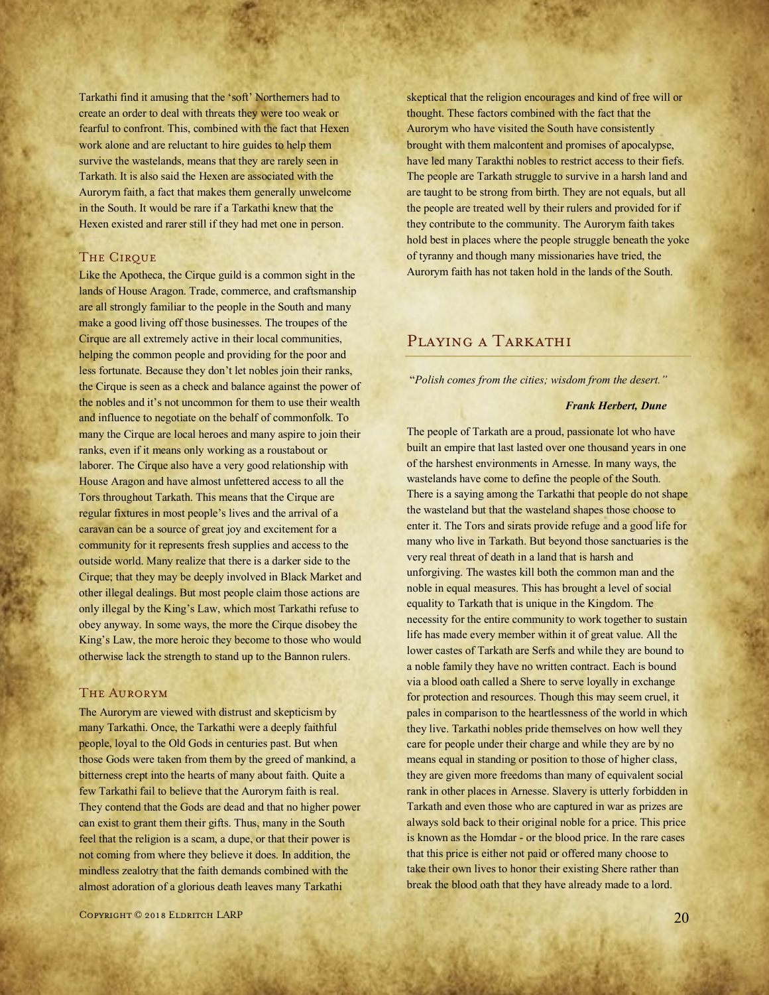Tarkathi find it amusing that the 'soft' Northerners had to create an order to deal with threats they were too weak or fearful to confront. This, combined with the fact that Hexen work alone and are reluctant to hire guides to help them survive the wastelands, means that they are rarely seen in Tarkath. It is also said the Hexen are associated with the Aurorym faith, a fact that makes them generally unwelcome in the South. It would be rare if a Tarkathi knew that the Hexen existed and rarer still if they had met one in person.

#### **THE CIRQUE**

Like the Apotheca, the Cirque guild is a common sight in the lands of House Aragon. Trade, commerce, and craftsmanship are all strongly familiar to the people in the South and many make a good living off those businesses. The troupes of the Cirque are all extremely active in their local communities, helping the common people and providing for the poor and less fortunate. Because they don't let nobles join their ranks, the Cirque is seen as a check and balance against the power of the nobles and it's not uncommon for them to use their wealth and influence to negotiate on the behalf of commonfolk. To many the Cirque are local heroes and many aspire to join their ranks, even if it means only working as a roustabout or laborer. The Cirque also have a very good relationship with House Aragon and have almost unfettered access to all the Tors throughout Tarkath. This means that the Cirque are regular fixtures in most people's lives and the arrival of a caravan can be a source of great joy and excitement for a community for it represents fresh supplies and access to the outside world. Many realize that there is a darker side to the Cirque; that they may be deeply involved in Black Market and other illegal dealings. But most people claim those actions are only illegal by the King's Law, which most Tarkathi refuse to obey anyway. In some ways, the more the Cirque disobey the King's Law, the more heroic they become to those who would otherwise lack the strength to stand up to the Bannon rulers.

#### The Aurorym

The Aurorym are viewed with distrust and skepticism by many Tarkathi. Once, the Tarkathi were a deeply faithful people, loyal to the Old Gods in centuries past. But when those Gods were taken from them by the greed of mankind, a bitterness crept into the hearts of many about faith. Quite a few Tarkathi fail to believe that the Aurorym faith is real. They contend that the Gods are dead and that no higher power can exist to grant them their gifts. Thus, many in the South feel that the religion is a scam, a dupe, or that their power is not coming from where they believe it does. In addition, the mindless zealotry that the faith demands combined with the almost adoration of a glorious death leaves many Tarkathi

 $C$ opyright © 2018 Eldritch LARP 2009

skeptical that the religion encourages and kind of free will or thought. These factors combined with the fact that the Aurorym who have visited the South have consistently brought with them malcontent and promises of apocalypse, have led many Tarakthi nobles to restrict access to their fiefs. The people are Tarkath struggle to survive in a harsh land and are taught to be strong from birth. They are not equals, but all the people are treated well by their rulers and provided for if they contribute to the community. The Aurorym faith takes hold best in places where the people struggle beneath the yoke of tyranny and though many missionaries have tried, the Aurorym faith has not taken hold in the lands of the South.

# PLAYING A TARKATHI

"*Polish comes from the cities; wisdom from the desert."*

#### *Frank Herbert, Dune*

The people of Tarkath are a proud, passionate lot who have built an empire that last lasted over one thousand years in one of the harshest environments in Arnesse. In many ways, the wastelands have come to define the people of the South. There is a saying among the Tarkathi that people do not shape the wasteland but that the wasteland shapes those choose to enter it. The Tors and sirats provide refuge and a good life for many who live in Tarkath. But beyond those sanctuaries is the very real threat of death in a land that is harsh and unforgiving. The wastes kill both the common man and the noble in equal measures. This has brought a level of social equality to Tarkath that is unique in the Kingdom. The necessity for the entire community to work together to sustain life has made every member within it of great value. All the lower castes of Tarkath are Serfs and while they are bound to a noble family they have no written contract. Each is bound via a blood oath called a Shere to serve loyally in exchange for protection and resources. Though this may seem cruel, it pales in comparison to the heartlessness of the world in which they live. Tarkathi nobles pride themselves on how well they care for people under their charge and while they are by no means equal in standing or position to those of higher class, they are given more freedoms than many of equivalent social rank in other places in Arnesse. Slavery is utterly forbidden in Tarkath and even those who are captured in war as prizes are always sold back to their original noble for a price. This price is known as the Homdar - or the blood price. In the rare cases that this price is either not paid or offered many choose to take their own lives to honor their existing Shere rather than break the blood oath that they have already made to a lord.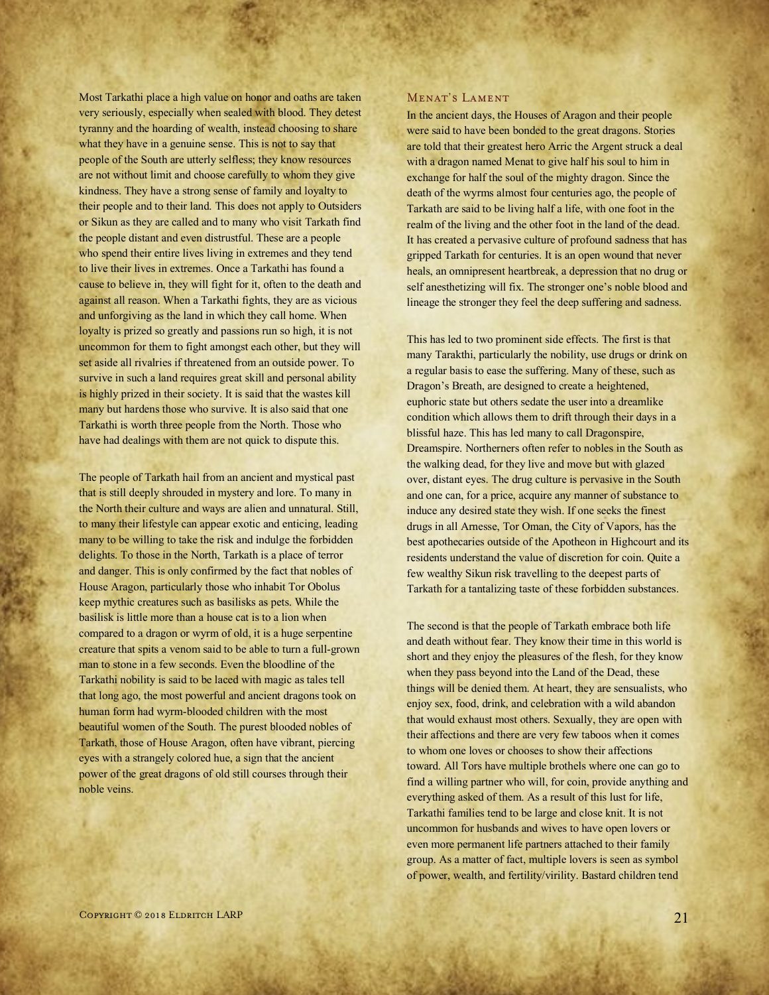Most Tarkathi place a high value on honor and oaths are taken very seriously, especially when sealed with blood. They detest tyranny and the hoarding of wealth, instead choosing to share what they have in a genuine sense. This is not to say that people of the South are utterly selfless; they know resources are not without limit and choose carefully to whom they give kindness. They have a strong sense of family and loyalty to their people and to their land. This does not apply to Outsiders or Sikun as they are called and to many who visit Tarkath find the people distant and even distrustful. These are a people who spend their entire lives living in extremes and they tend to live their lives in extremes. Once a Tarkathi has found a cause to believe in, they will fight for it, often to the death and against all reason. When a Tarkathi fights, they are as vicious and unforgiving as the land in which they call home. When loyalty is prized so greatly and passions run so high, it is not uncommon for them to fight amongst each other, but they will set aside all rivalries if threatened from an outside power. To survive in such a land requires great skill and personal ability is highly prized in their society. It is said that the wastes kill many but hardens those who survive. It is also said that one Tarkathi is worth three people from the North. Those who have had dealings with them are not quick to dispute this.

The people of Tarkath hail from an ancient and mystical past that is still deeply shrouded in mystery and lore. To many in the North their culture and ways are alien and unnatural. Still, to many their lifestyle can appear exotic and enticing, leading many to be willing to take the risk and indulge the forbidden delights. To those in the North, Tarkath is a place of terror and danger. This is only confirmed by the fact that nobles of House Aragon, particularly those who inhabit Tor Obolus keep mythic creatures such as basilisks as pets. While the basilisk is little more than a house cat is to a lion when compared to a dragon or wyrm of old, it is a huge serpentine creature that spits a venom said to be able to turn a full-grown man to stone in a few seconds. Even the bloodline of the Tarkathi nobility is said to be laced with magic as tales tell that long ago, the most powerful and ancient dragons took on human form had wyrm-blooded children with the most beautiful women of the South. The purest blooded nobles of Tarkath, those of House Aragon, often have vibrant, piercing eyes with a strangely colored hue, a sign that the ancient power of the great dragons of old still courses through their noble veins.

#### Menat's Lament

In the ancient days, the Houses of Aragon and their people were said to have been bonded to the great dragons. Stories are told that their greatest hero Arric the Argent struck a deal with a dragon named Menat to give half his soul to him in exchange for half the soul of the mighty dragon. Since the death of the wyrms almost four centuries ago, the people of Tarkath are said to be living half a life, with one foot in the realm of the living and the other foot in the land of the dead. It has created a pervasive culture of profound sadness that has gripped Tarkath for centuries. It is an open wound that never heals, an omnipresent heartbreak, a depression that no drug or self anesthetizing will fix. The stronger one's noble blood and lineage the stronger they feel the deep suffering and sadness.

This has led to two prominent side effects. The first is that many Tarakthi, particularly the nobility, use drugs or drink on a regular basis to ease the suffering. Many of these, such as Dragon's Breath, are designed to create a heightened, euphoric state but others sedate the user into a dreamlike condition which allows them to drift through their days in a blissful haze. This has led many to call Dragonspire, Dreamspire. Northerners often refer to nobles in the South as the walking dead, for they live and move but with glazed over, distant eyes. The drug culture is pervasive in the South and one can, for a price, acquire any manner of substance to induce any desired state they wish. If one seeks the finest drugs in all Arnesse, Tor Oman, the City of Vapors, has the best apothecaries outside of the Apotheon in Highcourt and its residents understand the value of discretion for coin. Quite a few wealthy Sikun risk travelling to the deepest parts of Tarkath for a tantalizing taste of these forbidden substances.

The second is that the people of Tarkath embrace both life and death without fear. They know their time in this world is short and they enjoy the pleasures of the flesh, for they know when they pass beyond into the Land of the Dead, these things will be denied them. At heart, they are sensualists, who enjoy sex, food, drink, and celebration with a wild abandon that would exhaust most others. Sexually, they are open with their affections and there are very few taboos when it comes to whom one loves or chooses to show their affections toward. All Tors have multiple brothels where one can go to find a willing partner who will, for coin, provide anything and everything asked of them. As a result of this lust for life, Tarkathi families tend to be large and close knit. It is not uncommon for husbands and wives to have open lovers or even more permanent life partners attached to their family group. As a matter of fact, multiple lovers is seen as symbol of power, wealth, and fertility/virility. Bastard children tend